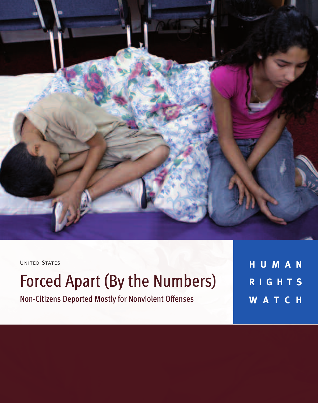

UNITED STATES

# Forced Apart (By the Numbers)

Non-Citizens Deported Mostly for Nonviolent Offenses

**H U M A N R I G H T S W A T C H**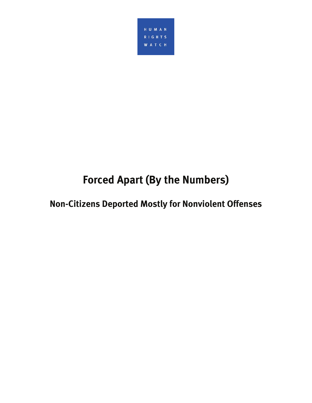

## **Forced Apart (By the Numbers)**

## **Non-Citizens Deported Mostly for Nonviolent Offenses**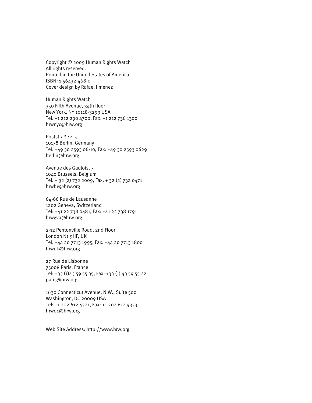Copyright © 2009 Human Rights Watch All rights reserved. Printed in the United States of America ISBN: 1-56432-468-0 Cover design by Rafael Jimenez

Human Rights Watch 350 Fifth Avenue, 34th floor New York, NY 10118-3299 USA Tel: +1 212 290 4700, Fax: +1 212 736 1300 hrwnyc@hrw.org

Poststraße 4-5 10178 Berlin, Germany Tel: +49 30 2593 06-10, Fax: +49 30 2593 0629 berlin@hrw.org

Avenue des Gaulois, 7 1040 Brussels, Belgium Tel: + 32 (2) 732 2009, Fax: + 32 (2) 732 0471 hrwbe@hrw.org

64-66 Rue de Lausanne 1202 Geneva, Switzerland Tel: +41 22 738 0481, Fax: +41 22 738 1791 hrwgva@hrw.org

2-12 Pentonville Road, 2nd Floor London N1 9HF, UK Tel: +44 20 7713 1995, Fax: +44 20 7713 1800 hrwuk@hrw.org

27 Rue de Lisbonne 75008 Paris, France Tel: +33 (1)43 59 55 35, Fax: +33 (1) 43 59 55 22 paris@hrw.org

1630 Connecticut Avenue, N.W., Suite 500 Washington, DC 20009 USA Tel: +1 202 612 4321, Fax: +1 202 612 4333 hrwdc@hrw.org

Web Site Address: http://www.hrw.org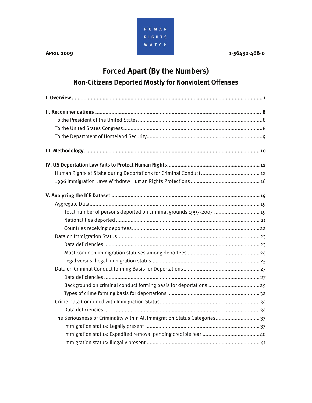

## **Forced Apart (By the Numbers) Non-Citizens Deported Mostly for Nonviolent Offenses**

| Total number of persons deported on criminal grounds 1997-2007  19         |
|----------------------------------------------------------------------------|
|                                                                            |
|                                                                            |
|                                                                            |
|                                                                            |
|                                                                            |
|                                                                            |
|                                                                            |
|                                                                            |
| Background on criminal conduct forming basis for deportations 29           |
|                                                                            |
|                                                                            |
|                                                                            |
| The Seriousness of Criminality within All Immigration Status Categories 37 |
|                                                                            |
|                                                                            |
|                                                                            |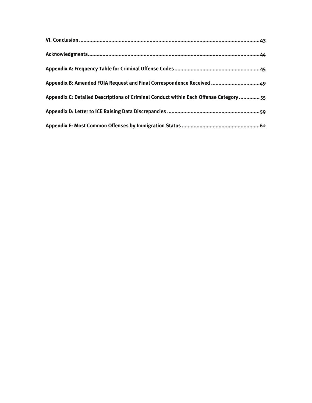| Appendix B: Amended FOIA Request and Final Correspondence Received 49                  |
|----------------------------------------------------------------------------------------|
| Appendix C: Detailed Descriptions of Criminal Conduct within Each Offense Category  55 |
|                                                                                        |
|                                                                                        |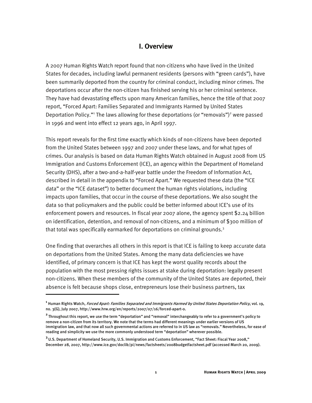## **I. Overview**

A 2007 Human Rights Watch report found that non-citizens who have lived in the United States for decades, including lawful permanent residents (persons with "green cards"), have been summarily deported from the country for criminal conduct, including minor crimes. The deportations occur after the non-citizen has finished serving his or her criminal sentence. They have had devastating effects upon many American families, hence the title of that 2007 report, "Forced Apart: Families Separated and Immigrants Harmed by United States Deportation Policy."<sup>1</sup> The laws allowing for these deportations (or "removals")<sup>2</sup> were passed in 1996 and went into effect 12 years ago, in April 1997.

This report reveals for the first time exactly which kinds of non-citizens have been deported from the United States between 1997 and 2007 under these laws, and for what types of crimes. Our analysis is based on data Human Rights Watch obtained in August 2008 from US Immigration and Customs Enforcement (ICE), an agency within the Department of Homeland Security (DHS), after a two-and-a-half-year battle under the Freedom of Information Act, described in detail in the appendix to "Forced Apart." We requested these data (the "ICE data" or the "ICE dataset") to better document the human rights violations, including impacts upon families, that occur in the course of these deportations. We also sought the data so that policymakers and the public could be better informed about ICE's use of its enforcement powers and resources. In fiscal year 2007 alone, the agency spent \$2.24 billion on identification, detention, and removal of non-citizens, and a minimum of \$300 million of that total was specifically earmarked for deportations on criminal grounds.<sup>3</sup>

One finding that overarches all others in this report is that ICE is failing to keep accurate data on deportations from the United States. Among the many data deficiencies we have identified, of primary concern is that ICE has kept the worst quality records about the population with the most pressing rights issues at stake during deportation: legally present non-citizens. When these members of the community of the United States are deported, their absence is felt because shops close, entrepreneurs lose their business partners, tax

**<sup>1</sup>** Human Rights Watch, Forced Apart: Families Separated and Immigrants Harmed by United States Deportation Policy, vol. 19, no. 3(G), July 2007, http://www.hrw.org/en/reports/2007/07/16/forced-apart-0.

**<sup>2</sup>**Throughout this report, we use the term "deportation" and "removal" interchangeably to refer to a government's policy to remove a non-citizen from its territory. We note that the terms had different meanings under earlier versions of US immigration law, and that now all such governmental actions are referred to in US law as "removals." Nevertheless, for ease of reading and simplicity we use the more commonly understood term "deportation" wherever possible.

**<sup>3</sup>**U.S. Department of Homeland Security, U.S. Immigration and Customs Enforcement, "Fact Sheet: Fiscal Year 2008," December 28, 2007, http://www.ice.gov/doclib/pi/news/factsheets/2008budgetfactsheet.pdf (accessed March 20, 2009).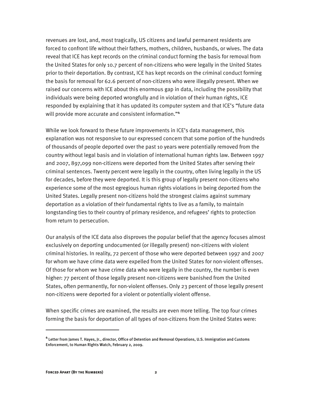revenues are lost, and, most tragically, US citizens and lawful permanent residents are forced to confront life without their fathers, mothers, children, husbands, or wives. The data reveal that ICE has kept records on the criminal conduct forming the basis for removal from the United States for only 10.7 percent of non-citizens who were legally in the United States prior to their deportation. By contrast, ICE has kept records on the criminal conduct forming the basis for removal for 62.6 percent of non-citizens who were illegally present. When we raised our concerns with ICE about this enormous gap in data, including the possibility that individuals were being deported wrongfully and in violation of their human rights, ICE responded by explaining that it has updated its computer system and that ICE's "future data will provide more accurate and consistent information."**<sup>4</sup>**

While we look forward to these future improvements in ICE's data management, this explanation was not responsive to our expressed concern that some portion of the hundreds of thousands of people deported over the past 10 years were potentially removed from the country without legal basis and in violation of international human rights law. Between 1997 and 2007, 897,099 non-citizens were deported from the United States after serving their criminal sentences. Twenty percent were legally in the country, often living legally in the US for decades, before they were deported. It is this group of legally present non-citizens who experience some of the most egregious human rights violations in being deported from the United States. Legally present non-citizens hold the strongest claims against summary deportation as a violation of their fundamental rights to live as a family, to maintain longstanding ties to their country of primary residence, and refugees' rights to protection from return to persecution.

Our analysis of the ICE data also disproves the popular belief that the agency focuses almost exclusively on deporting undocumented (or illegally present) non-citizens with violent criminal histories. In reality, 72 percent of those who were deported between 1997 and 2007 for whom we have crime data were expelled from the United States for non-violent offenses. Of those for whom we have crime data who were legally in the country, the number is even higher: 77 percent of those legally present non-citizens were banished from the United States, often permanently, for non-violent offenses. Only 23 percent of those legally present non-citizens were deported for a violent or potentially violent offense.

When specific crimes are examined, the results are even more telling. The top four crimes forming the basis for deportation of all types of non-citizens from the United States were:

**<sup>4</sup>** Letter from James T. Hayes, Jr., director, Office of Detention and Removal Operations, U.S. Immigration and Customs Enforcement, to Human Rights Watch, February 2, 2009.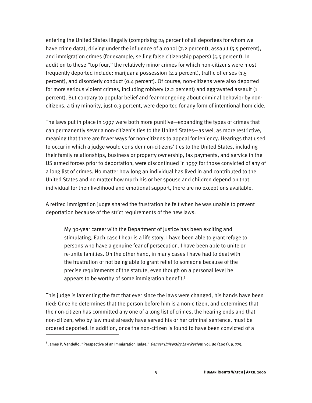entering the United States illegally (comprising 24 percent of all deportees for whom we have crime data), driving under the influence of alcohol (7.2 percent), assault (5.5 percent), and immigration crimes (for example, selling false citizenship papers) (5.5 percent). In addition to these "top four," the relatively minor crimes for which non-citizens were most frequently deported include: marijuana possession (2.2 percent), traffic offenses (1.5 percent), and disorderly conduct (0.4 percent). Of course, non-citizens were also deported for more serious violent crimes, including robbery (2.2 percent) and aggravated assault (1 percent). But contrary to popular belief and fear-mongering about criminal behavior by noncitizens, a tiny minority, just 0.3 percent, were deported for any form of intentional homicide.

The laws put in place in 1997 were both more punitive—expanding the types of crimes that can permanently sever a non-citizen's ties to the United States—as well as more restrictive, meaning that there are fewer ways for non-citizens to appeal for leniency. Hearings that used to occur in which a judge would consider non-citizens' ties to the United States, including their family relationships, business or property ownership, tax payments, and service in the US armed forces prior to deportation, were discontinued in 1997 for those convicted of any of a long list of crimes. No matter how long an individual has lived in and contributed to the United States and no matter how much his or her spouse and children depend on that individual for their livelihood and emotional support, there are no exceptions available.

A retired immigration judge shared the frustration he felt when he was unable to prevent deportation because of the strict requirements of the new laws:

My 30-year career with the Department of Justice has been exciting and stimulating. Each case I hear is a life story. I have been able to grant refuge to persons who have a genuine fear of persecution. I have been able to unite or re-unite families. On the other hand, in many cases I have had to deal with the frustration of not being able to grant relief to someone because of the precise requirements of the statute, even though on a personal level he appears to be worthy of some immigration benefit.<sup>5</sup>

This judge is lamenting the fact that ever since the laws were changed, his hands have been tied: Once he determines that the person before him is a non-citizen, and determines that the non-citizen has committed any one of a long list of crimes, the hearing ends and that non-citizen, who by law must already have served his or her criminal sentence, must be ordered deported. In addition, once the non-citizen is found to have been convicted of a

<sup>&</sup>lt;sup>5</sup> James P. Vandello, "Perspective of an Immigration Judge," *Denver University Law Review*, vol. 80 (2003), p. 775.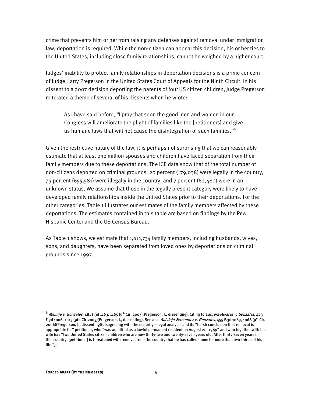crime that prevents him or her from raising any defenses against removal under immigration law, deportation is required. While the non-citizen can appeal this decision, his or her ties to the United States, including close family relationships, cannot be weighed by a higher court.

Judges' inability to protect family relationships in deportation decisions is a prime concern of Judge Harry Pregerson in the United States Court of Appeals for the Ninth Circuit. In his dissent to a 2007 decision deporting the parents of four US citizen children, Judge Pregerson reiterated a theme of several of his dissents when he wrote:

As I have said before, "I pray that soon the good men and women in our Congress will ameliorate the plight of families like the [petitioners] and give us humane laws that will not cause the disintegration of such families."6

Given the restrictive nature of the law, it is perhaps not surprising that we can reasonably estimate that at least one million spouses and children have faced separation from their family members due to these deportations. The ICE data show that of the total number of non-citizens deported on criminal grounds, 20 percent (179,038) were legally in the country, 73 percent (655,581) were illegally in the country, and 7 percent (62,480) were in an unknown status. We assume that those in the legally present category were likely to have developed family relationships inside the United States prior to their deportations. For the other categories, Table 1 illustrates our estimates of the family members affected by these deportations. The estimates contained in this table are based on findings by the Pew Hispanic Center and the US Census Bureau.

As Table 1 shows, we estimate that 1,012,734 family members, including husbands, wives, sons, and daughters, have been separated from loved ones by deportations on criminal grounds since 1997.

**<sup>6</sup>** Memije v. Gonzales, 481 F.3d 1163, 1165 (9th Cir. 2007)(Pregerson, J., dissenting). Citing to Cabrera-Alvarez v. Gonzales, 423 F.3d 1006, 1015 (9th Cir.2005)(Pregerson, J., dissenting). See also Salviejo-Fernandez v. Gonzales, 455 F.3d 1063, 1068 (9th Cir. 2006)(Pregerson, J., dissenting)(disagreeing with the majority's legal analysis and its "harsh conclusion that removal is appropriate for" petitioner, who "was admitted as a lawful permanent resident on August 20, 1969" and who together with his wife has "two United States citizen children who are now thirty-two and twenty-seven years old. After thirty-seven years in this country, [petitioner] is threatened with removal from the country that he has called home for more than two-thirds of his life.").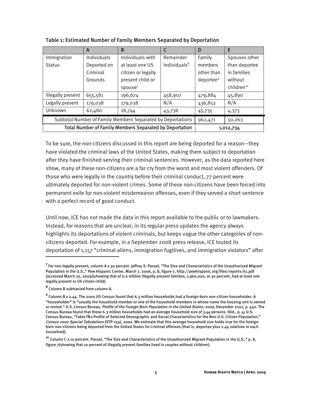|                                                                | A           | B                   |                 | D                     | E                      |
|----------------------------------------------------------------|-------------|---------------------|-----------------|-----------------------|------------------------|
| Immigration                                                    | Individuals | Individuals with    | Remainder       | Family                | Spouses other          |
| <b>Status</b>                                                  | Deported on | at least one US     | Individuals $8$ | members               | than deportee          |
|                                                                | Criminal    | citizen or legally  |                 | other than            | in families            |
|                                                                | Grounds     | present child or    |                 | deportee <sup>9</sup> | without                |
|                                                                |             | spouse <sup>7</sup> |                 |                       | children <sup>10</sup> |
| Illegally present                                              | 655,581     | 196,674             | 458,907         | 479,884               | 45,890                 |
| Legally present                                                | 179,038     | 179,038             | N/A             | 436,852               | N/A                    |
| Unknown                                                        | 62,480      | 18,744              | 43,736          | 45,735                | 4,373                  |
| Subtotal Number of Family Members Separated by Deportations    |             |                     |                 | 962,471               | 50,263                 |
| <b>Total Number of Family Members Separated by Deportation</b> |             |                     |                 |                       | 1,012,734              |

Table 1: Estimated Number of Family Members Separated by Deportation

To be sure, the non-citizens discussed in this report are being deported for a reason—they have violated the criminal laws of the United States, making them subject to deportation after they have finished serving their criminal sentences. However, as the data reported here show, many of these non-citizens are a far cry from the worst and most violent offenders. Of those who were legally in the country before their criminal conduct, 77 percent were ultimately deported for non-violent crimes. Some of these non-citizens have been forced into permanent exile for non-violent misdemeanor offenses, even if they served a short sentence with a perfect record of good conduct.

Until now, ICE has not made the data in this report available to the public or to lawmakers. Instead, for reasons that are unclear, in its regular press updates the agency always highlights its deportations of violent criminals, but keeps vague the other categories of noncitizens deported. For example, in a September 2008 press release, ICE touted its deportation of 1,157 "criminal aliens, immigration fugitives, and immigration violators" after

<sup>&</sup>lt;sup>7</sup> For non-legally present, column A x 30 percent. Jeffrey S. Passel, "The Size and Characteristics of the Unauthorized Migrant Population in the U.S.," Pew Hispanic Center, March 7, 2006, p. 8, figure 7, http://pewhispanic.org/files/reports/61.pdf (accessed March 25, 2009)(showing that of 6.6 million illegally present families, 1,960,000, or 30 percent, had at least one legally present or US citizen child).

**<sup>8</sup>** Column B subtracted from column A.

**<sup>9</sup>** Column B x 2.44. The 2000 US Census found that 6.3 million households had a foreign-born non-citizen householder. A "householder" is "usually the household member or one of the household members in whose name the housing unit is owned or rented." U.S. Census Bureau, Profile of the Foreign Born Population in the United States: 2000, December 2001, p. 430. The Census Bureau found that these 6.3 million households had an average household size of 3.44 persons. Ibid., p. 4; U.S. Census Bureau, "Table FB1-Profile of Selected Demographic and Social Characteristics for the Non-U.S. Citizen Population," Census 2000 Special Tabulations (STP-159), 2000. We estimate that this average household size holds true for the foreignborn non-citizens being deported from the United States for criminal offenses (that is, deportee plus 2.44 relatives in each household).

**<sup>10</sup>** Column C x 10 percent. Passel, "The Size and Characteristics of the Unauthorized Migrant Population in the U.S.," p. 8, figure 7(showing that 10 percent of illegally present families lived in couples without children).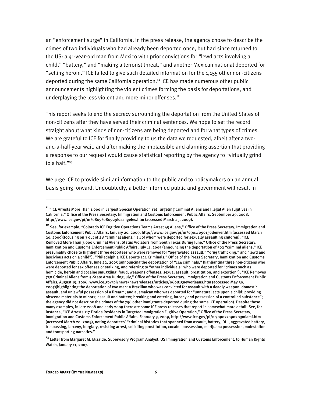an "enforcement surge" in California. In the press release, the agency chose to describe the crimes of two individuals who had already been deported once, but had since returned to the US: a 41-year-old man from Mexico with prior convictions for "lewd acts involving a child," "battery," and "making a terrorist threat," and another Mexican national deported for "selling heroin." ICE failed to give such detailed information for the 1,155 other non-citizens deported during the same California operation.<sup>11</sup> ICE has made numerous other public announcements highlighting the violent crimes forming the basis for deportations, and underplaying the less violent and more minor offenses.<sup>12</sup>

This report seeks to end the secrecy surrounding the deportation from the United States of non-citizens after they have served their criminal sentences. We hope to set the record straight about what kinds of non-citizens are being deported and for what types of crimes. We are grateful to ICE for finally providing to us the data we requested, albeit after a twoand-a-half-year wait, and after making the implausible and alarming assertion that providing a response to our request would cause statistical reporting by the agency to "virtually grind to a halt."**<sup>13</sup>**

We urge ICE to provide similar information to the public and to policymakers on an annual basis going forward. Undoubtedly, a better informed public and government will result in

**<sup>11</sup>** "ICE Arrests More Than 1,000 in Largest Special Operation Yet Targeting Criminal Aliens and Illegal Alien Fugitives in California," Office of the Press Secretary, Immigration and Customs Enforcement Public Affairs, September 29, 2008, http://www.ice.gov/pi/nr/0809/080929losangeles.htm (accessed March 25, 2009).

**<sup>12</sup>** See, for example, "Colorado ICE Fugitive Operations Teams Arrest 45 Aliens," Office of the Press Secretary, Immigration and Customs Enforcement Public Affairs, January 20, 2009, http://www.ice.gov/pi/nr/0901/090130denver.htm (accessed March 20, 2009)(focusing on 3 out of 28 "criminal aliens," all of whom were deported for sexually assaulting children); "ICE Removed More Than 3,000 Criminal Aliens, Status Violators from South Texas During June," Office of the Press Secretary, Immigration and Customs Enforcement Public Affairs, July 11, 2005 (announcing the deportation of 562 "criminal aliens," ICE presumably chose to highlight three deportees who were removed for "aggravated assault," "drug trafficking," and "lewd and lascivious acts on a child"); "Philadelphia ICE Deports 144 Criminals," Office of the Press Secretary, Immigration and Customs Enforcement Public Affairs, June 22, 2005 (announcing the deportation of "144 criminals," highlighting three non-citizens who were deported for sex offenses or stalking, and referring to "other individuals" who were deported for "crimes such as homicide, heroin and cocaine smuggling, fraud, weapons offenses, sexual assault, prostitution, and extortion"); "ICE Removes 758 Criminal Aliens from 5-State Area During July," Office of the Press Secretary, Immigration and Customs Enforcement Public Affairs, August 15, 2006, www.ice.gov/pi/news/newsreleases/articles/060815neworleans.htm (accessed May 30, 2007)(highlighting the deportation of two men: a Brazilian who was convicted for assault with a deadly weapon, domestic assault, and unlawful possession of a firearm; and a Jamaican who was deported for "unnatural acts upon a child; providing obscene materials to minors; assault and battery; breaking and entering, larceny and possession of a controlled substance"; the agency did not describe the crimes of the 756 other immigrants deported during the same ICE operation). Despite these many examples, in late 2008 and early 2009 there are some ICE press releases that report in somewhat more detail: See, for instance, "ICE Arrests 117 Florida Residents in Targeted Immigration Fugitive Operation," Office of the Press Secretary, Immigration and Customs Enforcement Public Affairs, February 3, 2009, http://www.ice.gov/pi/nr/0902/090203miami.htm (accessed March 20, 2009), noting deportees' "criminal histories that spanned from assault, battery, DUI, aggravated battery, trespassing, larceny, burglary, resisting arrest, soliciting prostitution, cocaine possession, marijuana possession, molestation and transporting narcotics."

**<sup>13</sup>** Letter from Margaret M. Elizalde, Supervisory Program Analyst, US Immigration and Customs Enforcement, to Human Rights Watch, January 11, 2007.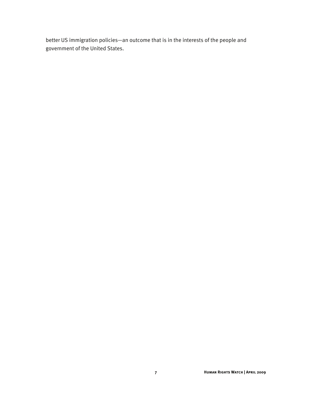better US immigration policies—an outcome that is in the interests of the people and government of the United States.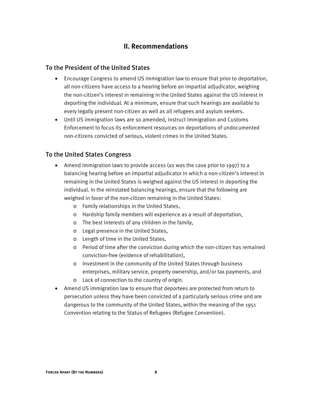## **II. Recommendations**

## To the President of the United States

- Encourage Congress to amend US immigration law to ensure that prior to deportation, all non-citizens have access to a hearing before an impartial adjudicator, weighing the non-citizen's interest in remaining in the United States against the US interest in deporting the individual. At a minimum, ensure that such hearings are available to every legally present non-citizen as well as all refugees and asylum seekers.
- Until US immigration laws are so amended, instruct Immigration and Customs Enforcement to focus its enforcement resources on deportations of undocumented non-citizens convicted of serious, violent crimes in the United States.

## To the United States Congress

- Amend immigration laws to provide access (as was the case prior to 1997) to a balancing hearing before an impartial adjudicator in which a non-citizen's interest in remaining in the United States is weighed against the US interest in deporting the individual. In the reinstated balancing hearings, ensure that the following are weighed in favor of the non-citizen remaining in the United States:
	- o Family relationships in the United States,
	- o Hardship family members will experience as a result of deportation,
	- o The best interests of any children in the family,
	- o Legal presence in the United States,
	- o Length of time in the United States,
	- o Period of time after the conviction during which the non-citizen has remained conviction-free (evidence of rehabilitation),
	- o Investment in the community of the United States through business enterprises, military service, property ownership, and/or tax payments, and
	- o Lack of connection to the country of origin.
- Amend US immigration law to ensure that deportees are protected from return to persecution unless they have been convicted of a particularly serious crime and are dangerous to the community of the United States, within the meaning of the 1951 Convention relating to the Status of Refugees (Refugee Convention).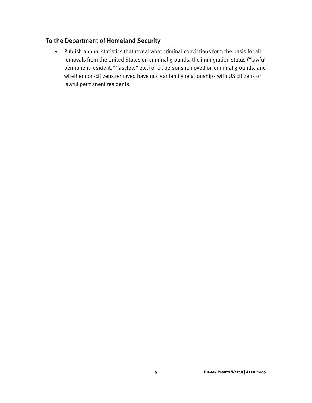## To the Department of Homeland Security

• Publish annual statistics that reveal what criminal convictions form the basis for all removals from the United States on criminal grounds, the immigration status ("lawful permanent resident," "asylee," etc.) of all persons removed on criminal grounds, and whether non-citizens removed have nuclear family relationships with US citizens or lawful permanent residents.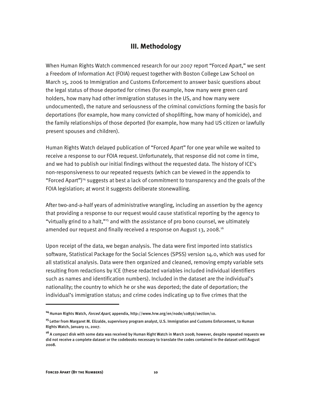## **III. Methodology**

When Human Rights Watch commenced research for our 2007 report "Forced Apart," we sent a Freedom of Information Act (FOIA) request together with Boston College Law School on March 15, 2006 to Immigration and Customs Enforcement to answer basic questions about the legal status of those deported for crimes (for example, how many were green card holders, how many had other immigration statuses in the US, and how many were undocumented), the nature and seriousness of the criminal convictions forming the basis for deportations (for example, how many convicted of shoplifting, how many of homicide), and the family relationships of those deported (for example, how many had US citizen or lawfully present spouses and children).

Human Rights Watch delayed publication of "Forced Apart" for one year while we waited to receive a response to our FOIA request.Unfortunately, that response did not come in time, and we had to publish our initial findings without the requested data. The history of ICE's non-responsiveness to our repeated requests (which can be viewed in the appendix to "Forced Apart")<sup>14</sup> suggests at best a lack of commitment to transparency and the goals of the FOIA legislation; at worst it suggests deliberate stonewalling.

After two-and-a-half years of administrative wrangling, including an assertion by the agency that providing a response to our request would cause statistical reporting by the agency to "virtually grind to a halt,"15 and with the assistance of pro bono counsel, we ultimately amended our request and finally received a response on August 13, 2008.<sup>16</sup>

Upon receipt of the data, we began analysis. The data were first imported into statistics software, Statistical Package for the Social Sciences (SPSS) version 14.0, which was used for all statistical analysis. Data were then organized and cleaned, removing empty variable sets resulting from redactions by ICE (these redacted variables included individual identifiers such as names and identification numbers). Included in the dataset are the individual's nationality; the country to which he or she was deported; the date of deportation; the individual's immigration status; and crime codes indicating up to five crimes that the

**<sup>14</sup>**Human Rights Watch, Forced Apart, appendix, http://www.hrw.org/en/node/10856/section/10.

**<sup>15</sup>**Letter from Margaret M. Elizalde, supervisory program analyst, U.S. Immigration and Customs Enforcement, to Human Rights Watch, January 11, 2007.

**<sup>16</sup>**A compact disk with some data was received by Human Right Watch in March 2008; however, despite repeated requests we did not receive a complete dataset or the codebooks necessary to translate the codes contained in the dataset until August 2008.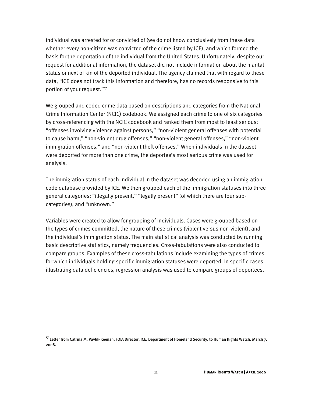individual was arrested for or convicted of (we do not know conclusively from these data whether every non-citizen was convicted of the crime listed by ICE), and which formed the basis for the deportation of the individual from the United States. Unfortunately, despite our request for additional information, the dataset did not include information about the marital status or next of kin of the deported individual. The agency claimed that with regard to these data, "ICE does not track this information and therefore, has no records responsive to this portion of your request."<sup>17</sup>

We grouped and coded crime data based on descriptions and categories from the National Crime Information Center (NCIC) codebook. We assigned each crime to one of six categories by cross-referencing with the NCIC codebook and ranked them from most to least serious: "offenses involving violence against persons," "non-violent general offenses with potential to cause harm," "non-violent drug offenses," "non-violent general offenses," "non-violent immigration offenses," and "non-violent theft offenses." When individuals in the dataset were deported for more than one crime, the deportee's most serious crime was used for analysis.

The immigration status of each individual in the dataset was decoded using an immigration code database provided by ICE. We then grouped each of the immigration statuses into three general categories: "illegally present," "legally present" (of which there are four subcategories), and "unknown."

Variables were created to allow for grouping of individuals. Cases were grouped based on the types of crimes committed, the nature of these crimes (violent versus non-violent), and the individual's immigration status. The main statistical analysis was conducted by running basic descriptive statistics, namely frequencies. Cross-tabulations were also conducted to compare groups. Examples of these cross-tabulations include examining the types of crimes for which individuals holding specific immigration statuses were deported. In specific cases illustrating data deficiencies, regression analysis was used to compare groups of deportees.

**<sup>17</sup>** Letter from Catrina M. Pavlik-Keenan, FOIA Director, ICE, Department of Homeland Security, to Human Rights Watch, March 7, 2008.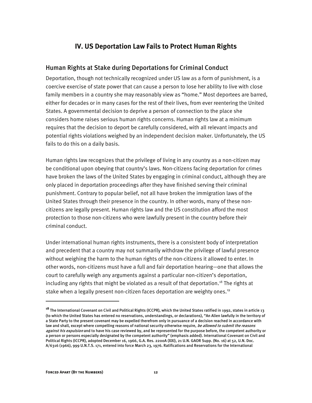## **IV. US Deportation Law Fails to Protect Human Rights**

### Human Rights at Stake during Deportations for Criminal Conduct

Deportation, though not technically recognized under US law as a form of punishment, is a coercive exercise of state power that can cause a person to lose her ability to live with close family members in a country she may reasonably view as "home." Most deportees are barred, either for decades or in many cases for the rest of their lives, from ever reentering the United States. A governmental decision to deprive a person of connection to the place she considers home raises serious human rights concerns. Human rights law at a minimum requires that the decision to deport be carefully considered, with all relevant impacts and potential rights violations weighed by an independent decision maker. Unfortunately, the US fails to do this on a daily basis.

Human rights law recognizes that the privilege of living in any country as a non-citizen may be conditional upon obeying that country's laws. Non-citizens facing deportation for crimes have broken the laws of the United States by engaging in criminal conduct, although they are only placed in deportation proceedings after they have finished serving their criminal punishment. Contrary to popular belief, not all have broken the immigration laws of the United States through their presence in the country. In other words, many of these noncitizens are legally present. Human rights law and the US constitution afford the most protection to those non-citizens who were lawfully present in the country before their criminal conduct.

Under international human rights instruments, there is a consistent body of interpretation and precedent that a country may not summarily withdraw the privilege of lawful presence without weighing the harm to the human rights of the non-citizens it allowed to enter. In other words, non-citizens must have a full and fair deportation hearing—one that allows the court to carefully weigh any arguments against a particular non-citizen's deportation, including any rights that might be violated as a result of that deportation.<sup>18</sup> The rights at stake when a legally present non-citizen faces deportation are weighty ones.<sup>19</sup>

**<sup>18</sup>** The International Covenant on Civil and Political Rights (ICCPR), which the United States ratified in 1992, states in article 13 (to which the United States has entered no reservations, understandings, or declarations), "An Alien lawfully in the territory of a State Party to the present covenant may be expelled therefrom only in pursuance of a decision reached in accordance with law and shall, except where compelling reasons of national security otherwise require, *be allowed to submit the reasons* against his expulsion and to have his case reviewed by, and be represented for the purpose before, the competent authority or a person or persons especially designated by the competent authority" (emphasis added). International Covenant on Civil and Political Rights (ICCPR), adopted December 16, 1966, G.A. Res. 2200A (XXI), 21 U.N. GAOR Supp. (No. 16) at 52, U.N. Doc. A/6316 (1966), 999 U.N.T.S. 171, entered into force March 23, 1976. Ratifications and Reservations for the International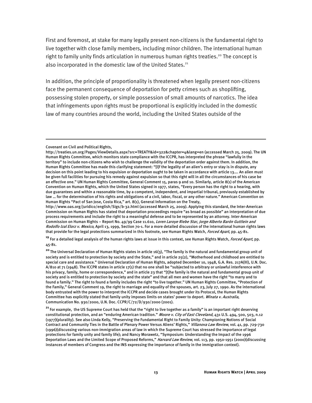First and foremost, at stake for many legally present non-citizens is the fundamental right to live together with close family members, including minor children. The international human right to family unity finds articulation in numerous human rights treaties.<sup>20</sup> The concept is also incorporated in the domestic law of the United States.<sup>21</sup>

In addition, the principle of proportionality is threatened when legally present non-citizens face the permanent consequence of deportation for petty crimes such as shoplifting, possessing stolen property, or simple possession of small amounts of narcotics. The idea that infringements upon rights must be proportional is explicitly included in the domestic law of many countries around the world, including the United States outside of the

:

http://www.oas.org/juridico/english/Sigs/b-32.html (accessed March 25, 2009). Applying this standard, the Inter-American Commission on Human Rights has stated that deportation proceedings require "as broad as possible" an interpretation of due process requirements and include the right to a meaningful defense and to be represented by an attorney. Inter-American Commission on Human Rights - Report No. 49/99 Case 11.610, Loren Laroye Riebe Star, Jorge Alberto Barón Guttlein and Rodolfo Izal Elorz v. Mexico, April 13, 1999, Section 70-1. For a more detailed discussion of the international human rights laws that provide for the legal protections summarized in this footnote, see Human Rights Watch, Forced Apart, pp. 45-81.

<sup>19</sup> For a detailed legal analysis of the human rights laws at issue in this context, see Human Rights Watch, *Forced Apart*, pp. 45-81.

**<sup>20</sup>**The Universal Declaration of Human Rights states in article 16(3), "The family is the natural and fundamental group unit of society and is entitled to protection by society and the State," and in article 25(2), "Motherhood and childhood are entitled to special care and assistance." Universal Declaration of Human Rights, adopted December 10, 1948, G.A. Res. 217A(III), U.N. Doc. A/810 at 71 (1948). The ICCPR states in article 17(1) that no one shall be "subjected to arbitrary or unlawful interference with his privacy, family, home or correspondence," and in article 23 that "[t]he family is the natural and fundamental group unit of society and is entitled to protection by society and the state" and that all men and women have the right "to marry and to found a family." The right to found a family includes the right "to live together." UN Human Rights Committee, "Protection of the Family," General Comment 19, the right to marriage and equality of the spouses, art. 23, July 27, 1990. As the international body entrusted with the power to interpret the ICCPR and decide cases brought under its Protocol, the Human Rights Committee has explicitly stated that family unity imposes limits on states' power to deport. Winata v. Australia, Communication No. 930/2000, U.N. Doc. CCPR/C/72/D/930/2000 (2001).

**<sup>21</sup>**For example, the US Supreme Court has held that the "right to live together as a family" is an important right deserving constitutional protection, and an "enduring American tradition." Moore v. City of East Cleveland, 431 U.S. 494, 500, 503, n.12 (1977)(plurality). See also Linda Kelly, "Preserving the Fundamental Right to Family Unity: Championing Notions of Social Contract and Community Ties in the Battle of Plenary Power Versus Aliens' Rights," Villanova Law Review, vol. 41, pp. 729-730 (1996)(discussing various non-immigration areas of law in which the Supreme Court has stressed the importance of legal protections for family unity and family life); and Nancy Morawetz, "Symposium: Understanding the Impact of the 1996 Deportation Laws and the Limited Scope of Proposed Reforms," Harvard Law Review, vol. 113, pp. 1950-1951 (2000)(discussing instances of members of Congress and the INS expressing the importance of family in the immigration context).

Covenant on Civil and Political Rights,

http://treaties.un.org/Pages/ViewDetails.aspx?src=TREATY&id=322&chapter=4&lang=en (accessed March 25, 2009). The UN Human Rights Committee, which monitors state compliance with the ICCPR, has interpreted the phrase "lawfully in the territory" to include non-citizens who wish to challenge the validity of the deportation order against them. In addition, the Human Rights Committee has made this clarifying statement: "[I]f the legality of an alien's entry or stay is in dispute, any decision on this point leading to his expulsion or deportation ought to be taken in accordance with article 13…. An alien must be given full facilities for pursuing his remedy against expulsion so that this right will in all the circumstances of his case be an effective one." UN Human Rights Committee, General Comment 15, paras 9 and 10. Similarly, article 8(1) of the American Convention on Human Rights, which the United States signed in 1977, states, "Every person has the right to a hearing, with due guarantees and within a reasonable time, by a competent, independent, and impartial tribunal, previously established by law … for the determination of his rights and obligations of a civil, labor, fiscal, or any other nature." American Convention on Human Rights "Pact of San Jose, Costa Rica," art. 8(1), General Information on the Treaty,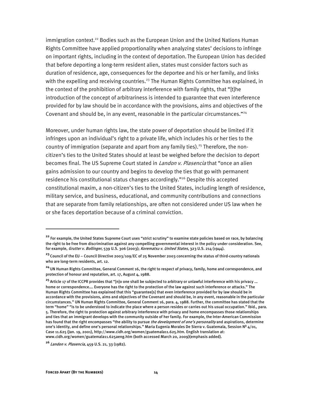immigration context.<sup>22</sup> Bodies such as the European Union and the United Nations Human Rights Committee have applied proportionality when analyzing states' decisions to infringe on important rights, including in the context of deportation. The European Union has decided that before deporting a long-term resident alien, states must consider factors such as duration of residence, age, consequences for the deportee and his or her family, and links with the expelling and receiving countries.<sup>23</sup> The Human Rights Committee has explained, in the context of the prohibition of arbitrary interference with family rights, that "[t]he introduction of the concept of arbitrariness is intended to guarantee that even interference provided for by law should be in accordance with the provisions, aims and objectives of the Covenant and should be, in any event, reasonable in the particular circumstances."<sup>24</sup>

Moreover, under human rights law, the state power of deportation should be limited if it infringes upon an individual's right to a private life, which includes his or her ties to the country of immigration (separate and apart from any family ties).<sup>25</sup> Therefore, the noncitizen's ties to the United States should at least be weighed before the decision to deport becomes final. The US Supreme Court stated in *Landon v. Plasencia* that "once an alien gains admission to our country and begins to develop the ties that go with permanent residence his constitutional status changes accordingly."<sup>26</sup> Despite this accepted constitutional maxim, a non-citizen's ties to the United States, including length of residence, military service, and business, educational, and community contributions and connections that are separate from family relationships, are often not considered under US law when he or she faces deportation because of a criminal conviction.

**<sup>22</sup>** For example, the United States Supreme Court uses "strict scrutiny" to examine state policies based on race, by balancing the right to be free from discrimination against any compelling governmental interest in the policy under consideration. See, for example, Grutter v. Bollinger, 539 U.S. 306 (2003); Korematsu v. United States, 323 U.S. 214 (1944).

**<sup>23</sup>**Council of the EU – Council Directive 2003/109/EC of 25 November 2003 concerning the status of third-country nationals who are long-term residents, art. 12.

**<sup>24</sup>**UN Human Rights Committee, General Comment 16, the right to respect of privacy, family, home and correspondence, and protection of honour and reputation, art. 17, August 4, 1988.

**<sup>25</sup>**Article 17 of the ICCPR provides that "[n]o one shall be subjected to arbitrary or unlawful interference with his privacy ... home or correspondence…. Everyone has the right to the protection of the law against such interference or attacks." The Human Rights Committee has explained that this "guarantee[s] that even interference provided for by law should be in accordance with the provisions, aims and objectives of the Covenant and should be, in any event, reasonable in the particular circumstances." UN Human Rights Committee, General Comment 16, para. 4, 1988. Further, the committee has stated that the term "home" "is to be understood to indicate the place where a person resides or carries out his usual occupation." Ibid., para. 5. Therefore, the right to protection against arbitrary interference with privacy and home encompasses those relationships and ties that an immigrant develops with the community outside of her family. For example, the Inter-American Commission has found that the right encompasses "the ability to pursue the development of one's personality and aspirations, determine one's identity, and define one's personal relationships." Maria Eugenia Morales De Sierra v. Guatemala, Session Nº  $4/01$ , Case 11.625 (Jan. 19, 2001), http://www.cidh.org/women/guatemala11.625.htm. English translation at: www.cidh.org/women/guatemala11.625aeng.htm (both accessed March 20, 2009)(emphasis added).

**<sup>26</sup>**Landon v. Plasencia, 459 U.S. 21, 33 (1982).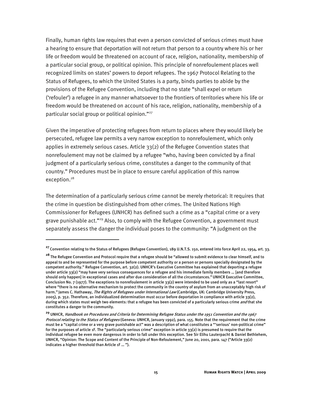Finally, human rights law requires that even a person convicted of serious crimes must have a hearing to ensure that deportation will not return that person to a country where his or her life or freedom would be threatened on account of race, religion, nationality, membership of a particular social group, or political opinion. This principle of nonrefoulement places well recognized limits on states' powers to deport refugees. The 1967 Protocol Relating to the Status of Refugees, to which the United States is a party, binds parties to abide by the provisions of the Refugee Convention, including that no state "shall expel or return ('refouler') a refugee in any manner whatsoever to the frontiers of territories where his life or freedom would be threatened on account of his race, religion, nationality, membership of a particular social group or political opinion."<sup>27</sup>

Given the imperative of protecting refugees from return to places where they would likely be persecuted, refugee law permits a very narrow exception to nonrefoulement, which only applies in extremely serious cases. Article  $33(2)$  of the Refugee Convention states that nonrefoulement may not be claimed by a refugee "who, having been convicted by a final judgment of a particularly serious crime, constitutes a danger to the community of that country." Procedures must be in place to ensure careful application of this narrow exception.<sup>28</sup>

The determination of a particularly serious crime cannot be merely rhetorical: It requires that the crime in question be distinguished from other crimes. The United Nations High Commissioner for Refugees (UNHCR) has defined such a crime as a "capital crime or a very grave punishable act."<sup>29</sup> Also, to comply with the Refugee Convention, a government must separately assess the danger the individual poses to the community: "A judgment on the

**<sup>27</sup>**Convention relating to the Status of Refugees (Refugee Convention), 189 U.N.T.S. 150, entered into force April 22, 1954, art. 33.

**<sup>28</sup>** The Refugee Convention and Protocol require that a refugee should be "allowed to submit evidence to clear himself, and to appeal to and be represented for the purpose before competent authority or a person or persons specially designated by the competent authority." Refugee Convention, art. 32(2). UNHCR's Executive Committee has explained that deporting a refugee under article 33(2) "may have very serious consequences for a refugee and his immediate family members … [and therefore should only happen] in exceptional cases and after due consideration of all the circumstances."UNHCR Executive Committee, Conclusion No. 7 (1977). The exceptions to nonrefoulement in article 33(2) were intended to be used only as a "last resort" where "there is no alternative mechanism to protect the community in the country of asylum from an unacceptably high risk of harm." James C. Hathaway, *The Rights of Refugees under International Law* (Cambridge, UK: Cambridge University Press, 2005), p. 352. Therefore, an individualized determination must occur before deportation in compliance with article 33(2), during which states must weigh two elements: that a refugee has been convicted of a particularly serious crime and that she constitutes a danger to the community.

**<sup>29</sup>** UNHCR, Handbook on Procedures and Criteria for Determining Refugee Status under the 1951 Convention and the 1967 Protocol relating to the Status of Refugees (Geneva: UNHCR, January 1992), para. 155. Note that the requirement that the crime must be a "capital crime or a very grave punishable act" was a description of what constitutes a "'serious' non-political crime" for the purposes of article 1F. The "particularly serious crime" exception in article 33(2) is presumed to require that the individual refugee be even more dangerous in order to fall under this exception. See Sir Elihu Lauterpacht & Daniel Bethlehem, UNHCR, "Opinion: The Scope and Content of the Principle of Non-Refoulement," June 20, 2001, para. 147 ("Article 33(2) indicates a higher threshold than Article 1F … ").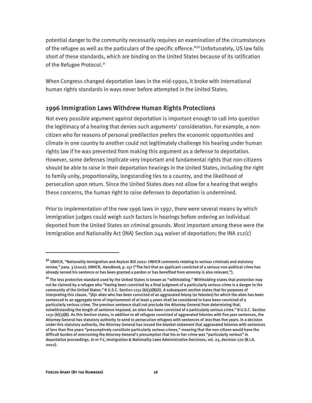potential danger to the community necessarily requires an examination of the circumstances of the refugee as well as the particulars of the specific offence."<sup>30</sup> Unfortunately, US law falls short of these standards, which are binding on the United States because of its ratification of the Refugee Protocol.<sup>31</sup>

When Congress changed deportation laws in the mid-1990s, it broke with international human rights standards in ways never before attempted in the United States.

#### 1996 Immigration Laws Withdrew Human Rights Protections

Not every possible argument against deportation is important enough to call into question the legitimacy of a hearing that denies such arguments' consideration. For example, a noncitizen who for reasons of personal predilection prefers the economic opportunities and climate in one country to another could not legitimately challenge his hearing under human rights law if he was prevented from making this argument as a defense to deportation. However, some defenses implicate very important and fundamental rights that non-citizens should be able to raise in their deportation hearings in the United States, including the right to family unity, proportionality, longstanding ties to a country, and the likelihood of persecution upon return. Since the United States does not allow for a hearing that weighs these concerns, the human right to raise defenses to deportation is undermined.

Prior to implementation of the new 1996 laws in 1997, there were several means by which immigration judges could weigh such factors in hearings before ordering an individual deported from the United States on criminal grounds. Most important among these were the Immigration and Nationality Act (INA) Section 244 waiver of deportation; the INA 212(c)

**<sup>30</sup>** UNHCR, "Nationality Immigration and Asylum Bill 2002: UNHCR comments relating to serious criminals and statutory review," para. 3 (2002); UNHCR, *Handbook*, p. 157 ("The fact that an applicant convicted of a serious non-political crime has already served his sentence or has been granted a pardon or has benefited from amnesty is also relevant.").

**<sup>31</sup>** The less protective standard used by the United States is known as "withholding." Withholding states that protection may not be claimed by a refugee who "having been convicted by a final judgment of a particularly serious crime is a danger to the community of the United States."8 U.S.C. Section 1231 (b)(3)(B)(ii). A subsequent section states that for purposes of interpreting this clause, "[A]n alien who has been convicted of an aggravated felony (or felonies) for which the alien has been sentenced to an aggregate term of imprisonment of at least 5 years shall be considered to have been convicted of a particularly serious crime. The previous sentence shall not preclude the Attorney General from determining that, notwithstanding the length of sentence imposed, an alien has been convicted of a particularly serious crime."8 U.S.C. Section 1231 (b)(3)(B). As this Section states, in addition to all refugees convicted of aggravated felonies with five year sentences, the Attorney General has statutory authority to send to persecution refugees with sentences of *less* than five years. In a decision under this statutory authority, the Attorney General has issued the blanket statement that aggravated felonies with sentences of less than five years "presumptively constitute particularly serious crimes," meaning that the non-citizen would have the difficult burden of overcoming the Attorney General's presumption that his or her crime was "particularly serious" in deportation proceedings. In re Y-L, Immigration & Nationality Laws Administrative Decisions, vol. 23, decision 270 (B.I.A. 2002).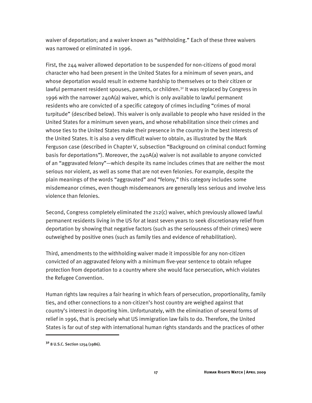waiver of deportation; and a waiver known as "withholding." Each of these three waivers was narrowed or eliminated in 1996.

First, the 244 waiver allowed deportation to be suspended for non-citizens of good moral character who had been present in the United States for a minimum of seven years, and whose deportation would result in extreme hardship to themselves or to their citizen or lawful permanent resident spouses, parents, or children.<sup>32</sup> It was replaced by Congress in 1996 with the narrower 240A(a) waiver, which is only available to lawful permanent residents who are convicted of a specific category of crimes including "crimes of moral turpitude" (described below). This waiver is only available to people who have resided in the United States for a minimum seven years, and whose rehabilitation since their crimes and whose ties to the United States make their presence in the country in the best interests of the United States. It is also a very difficult waiver to obtain, as illustrated by the Mark Ferguson case (described in Chapter V, subsection "Background on criminal conduct forming basis for deportations"). Moreover, the 240A(a) waiver is not available to anyone convicted of an "aggravated felony"—which despite its name includes crimes that are neither the most serious nor violent, as well as some that are not even felonies. For example, despite the plain meanings of the words "aggravated" and "felony," this category includes some misdemeanor crimes, even though misdemeanors are generally less serious and involve less violence than felonies.

Second, Congress completely eliminated the 212(c) waiver, which previously allowed lawful permanent residents living in the US for at least seven years to seek discretionary relief from deportation by showing that negative factors (such as the seriousness of their crimes) were outweighed by positive ones (such as family ties and evidence of rehabilitation).

Third, amendments to the withholding waiver made it impossible for any non-citizen convicted of an aggravated felony with a minimum five-year sentence to obtain refugee protection from deportation to a country where she would face persecution, which violates the Refugee Convention.

Human rights law requires a fair hearing in which fears of persecution, proportionality, family ties, and other connections to a non-citizen's host country are weighed against that country's interest in deporting him. Unfortunately, with the elimination of several forms of relief in 1996, that is precisely what US immigration law fails to do. Therefore, the United States is far out of step with international human rights standards and the practices of other

**<sup>32</sup>** 8 U.S.C. Section 1254 (1986).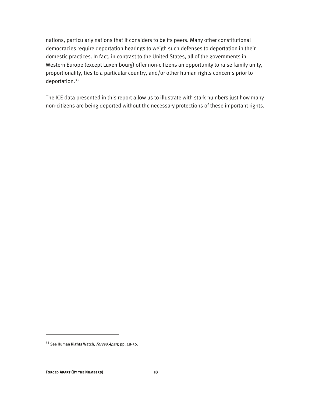nations, particularly nations that it considers to be its peers. Many other constitutional democracies require deportation hearings to weigh such defenses to deportation in their domestic practices. In fact, in contrast to the United States, all of the governments in Western Europe (except Luxembourg) offer non-citizens an opportunity to raise family unity, proportionality, ties to a particular country, and/or other human rights concerns prior to deportation.33

The ICE data presented in this report allow us to illustrate with stark numbers just how many non-citizens are being deported without the necessary protections of these important rights.

**<sup>33</sup>** See Human Rights Watch, Forced Apart, pp. 48-50.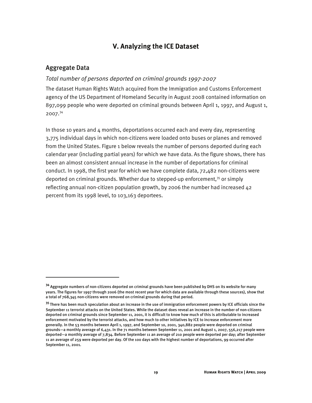## **V. Analyzing the ICE Dataset**

#### Aggregate Data

I

#### *Total number of persons deported on criminal grounds 1997-2007*

The dataset Human Rights Watch acquired from the Immigration and Customs Enforcement agency of the US Department of Homeland Security in August 2008 contained information on 897,099 people who were deported on criminal grounds between April 1, 1997, and August 1, 2007.34

In those 10 years and  $4$  months, deportations occurred each and every day, representing 3,775 individual days in which non-citizens were loaded onto buses or planes and removed from the United States. Figure 1 below reveals the number of persons deported during each calendar year (including partial years) for which we have data. As the figure shows, there has been an almost consistent annual increase in the number of deportations for criminal conduct. In 1998, the first year for which we have complete data, 72,482 non-citizens were deported on criminal grounds. Whether due to stepped-up enforcement,<sup>35</sup> or simply reflecting annual non-citizen population growth, by 2006 the number had increased 42 percent from its 1998 level, to 103,163 deportees.

**<sup>34</sup>** Aggregate numbers of non-citizens deported on criminal grounds have been published by DHS on its website for many years. The figures for 1997 through 2006 (the most recent year for which data are available through these sources), show that a total of 768,345 non-citizens were removed on criminal grounds during that period.

**<sup>35</sup>**There has been much speculation about an increase in the use of immigration enforcement powers by ICE officials since the September 11 terrorist attacks on the United States. While the dataset does reveal an increase in the number of non-citizens deported on criminal grounds since September 11, 2001, it is difficult to know how much of this is attributable to increased enforcement motivated by the terrorist attacks, and how much to other initiatives by ICE to increase enforcement more generally. In the 53 months between April 1, 1997, and September 10, 2001, 340,882 people were deported on criminal grounds—a monthly average of 6,431. In the 71 months between September 11, 2001 and August 1, 2007, 556,217 people were deported—a monthly average of 7,834. Before September 11 an average of 210 people were deported per day; after September 11 an average of 259 were deported per day. Of the 100 days with the highest number of deportations, 99 occurred after September 11, 2001.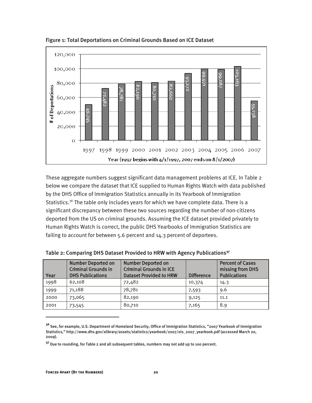

Figure 1: Total Deportations on Criminal Grounds Based on ICE Dataset

These aggregate numbers suggest significant data management problems at ICE. In Table 2 below we compare the dataset that ICE supplied to Human Rights Watch with data published by the DHS Office of Immigration Statistics annually in its Yearbook of Immigration Statistics.<sup>36</sup> The table only includes years for which we have complete data. There is a significant discrepancy between these two sources regarding the number of non-citizens deported from the US on criminal grounds. Assuming the ICE dataset provided privately to Human Rights Watch is correct, the public DHS Yearbooks of Immigration Statistics are failing to account for between 5.6 percent and 14.3 percent of deportees.

| Year | <b>Number Deported on</b><br><b>Criminal Grounds in</b><br><b>DHS Publications</b> | <b>Number Deported on</b><br><b>Criminal Grounds in ICE</b><br><b>Dataset Provided to HRW</b> | <b>Difference</b> | <b>Percent of Cases</b><br>missing from DHS<br><b>Publications</b> |
|------|------------------------------------------------------------------------------------|-----------------------------------------------------------------------------------------------|-------------------|--------------------------------------------------------------------|
| 1998 | 62.108                                                                             | 72,482                                                                                        | 10,374            | 14.3                                                               |
| 1999 | 71,188                                                                             | 78,781                                                                                        | 7,593             | 9.6                                                                |
| 2000 | 73,065                                                                             | 82,190                                                                                        | 9,125             | 11.1                                                               |
| 2001 | 73,545                                                                             | 80,710                                                                                        | 7,165             | 8.9                                                                |

Table 2: Comparing DHS Dataset Provided to HRW with Agency Publications**<sup>37</sup>**

**<sup>36</sup>**See, for example, U.S. Department of Homeland Security, Office of Immigration Statistics, "2007 Yearbook of Immigration Statistics," http://www.dhs.gov/xlibrary/assets/statistics/yearbook/2007/ois\_2007\_yearbook.pdf (accessed March 20, 2009).

<sup>&</sup>lt;sup>37</sup> Due to rounding, for Table 2 and all subsequent tables, numbers may not add up to 100 percent.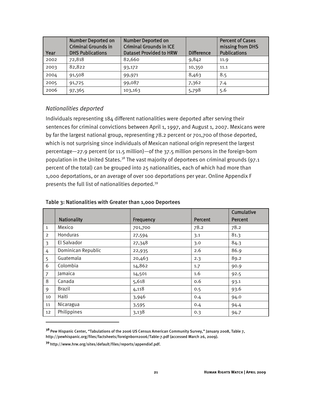| Year | <b>Number Deported on</b><br><b>Criminal Grounds in</b><br><b>DHS Publications</b> | <b>Number Deported on</b><br><b>Criminal Grounds in ICE</b><br><b>Dataset Provided to HRW</b> | <b>Difference</b> | <b>Percent of Cases</b><br>missing from DHS<br><b>Publications</b> |
|------|------------------------------------------------------------------------------------|-----------------------------------------------------------------------------------------------|-------------------|--------------------------------------------------------------------|
| 2002 | 72,818                                                                             | 82,660                                                                                        | 9,842             | 11.9                                                               |
| 2003 | 82.822                                                                             | 93,172                                                                                        | 10,350            | 11.1                                                               |
| 2004 | 91,508                                                                             | 99,971                                                                                        | 8,463             | 8.5                                                                |
| 2005 | 91,725                                                                             | 99,087                                                                                        | 7,362             | 7.4                                                                |
| 2006 | 97,365                                                                             | 103,163                                                                                       | 5,798             | 5.6                                                                |

#### *Nationalities deported*

Individuals representing 184 different nationalities were deported after serving their sentences for criminal convictions between April 1, 1997, and August 1, 2007. Mexicans were by far the largest national group, representing 78.2 percent or 701,700 of those deported, which is not surprising since individuals of Mexican national origin represent the largest percentage—27.9 percent (or 11.5 million)—of the 37.5 million persons in the foreign-born population in the United States.<sup>38</sup> The vast majority of deportees on criminal grounds (97.1 percent of the total) can be grouped into 25 nationalities, each of which had more than 1,000 deportations, or an average of over 100 deportations per year. Online Appendix F presents the full list of nationalities deported.39

|                 |                    |           |         | Cumulative     |
|-----------------|--------------------|-----------|---------|----------------|
|                 | <b>Nationality</b> | Frequency | Percent | <b>Percent</b> |
| 1               | Mexico             | 701,700   | 78.2    | 78.2           |
| 2               | Honduras           | 27,594    | 3.1     | 81.3           |
| 3               | El Salvador        | 27,348    | 3.0     | 84.3           |
| 4               | Dominican Republic | 22,935    | 2.6     | 86.9           |
| 5               | Guatemala          | 20,463    | 2.3     | 89.2           |
| 6               | Colombia           | 14,862    | 1.7     | 90.9           |
| $\overline{7}$  | Jamaica            | 14,501    | 1.6     | 92.5           |
| 8               | Canada             | 5,618     | 0.6     | 93.1           |
| 9               | Brazil             | 4,118     | 0.5     | 93.6           |
| 10              | Haiti              | 3,946     | 0.4     | 94.0           |
| 11              | Nicaragua          | 3,595     | 0.4     | 94.4           |
| 12 <sup>2</sup> | Philippines        | 3,138     | 0.3     | 94.7           |

#### Table 3: Nationalities with Greater than 1,000 Deportees

**<sup>38</sup>**Pew Hispanic Center, "Tabulations of the 2006 US Census American Community Survey," January 2008, Table 7, http://pewhispanic.org/files/factsheets/foreignborn2006/Table-7.pdf (accessed March 26, 2009).

**<sup>39</sup>**http://www.hrw.org/sites/default/files/reports/appendixf.pdf.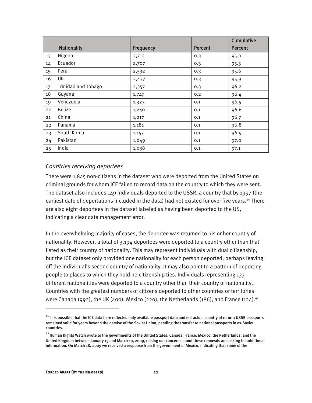|    |                            |           |                | Cumulative     |
|----|----------------------------|-----------|----------------|----------------|
|    | <b>Nationality</b>         | Frequency | <b>Percent</b> | <b>Percent</b> |
| 13 | Nigeria                    | 2,712     | 0.3            | 95.0           |
| 14 | Ecuador                    | 2,707     | 0.3            | 95.3           |
| 15 | Peru                       | 2,532     | 0.3            | 95.6           |
| 16 | UK                         | 2,437     | 0.3            | 95.9           |
| 17 | <b>Trinidad and Tobago</b> | 2,357     | 0.3            | 96.2           |
| 18 | Guyana                     | 1,747     | 0.2            | 96.4           |
| 19 | Venezuela                  | 1,323     | 0.1            | 96.5           |
| 20 | <b>Belize</b>              | 1,240     | 0.1            | 96.6           |
| 21 | China                      | 1,217     | 0.1            | 96.7           |
| 22 | Panama                     | 1,181     | 0.1            | 96.8           |
| 23 | South Korea                | 1,157     | 0.1            | 96.9           |
| 24 | Pakistan                   | 1,049     | 0.1            | 97.0           |
| 25 | India                      | 1,038     | 0.1            | 97.1           |

#### *Countries receiving deportees*

There were 1,845 non-citizens in the dataset who were deported from the United States on criminal grounds for whom ICE failed to record data on the country to which they were sent. The dataset also includes 149 individuals deported to the USSR, a country that by 1997 (the earliest date of deportations included in the data) had not existed for over five years.<sup>40</sup> There are also eight deportees in the dataset labeled as having been deported to the US, indicating a clear data management error.

In the overwhelming majority of cases, the deportee was returned to his or her country of nationality. However, a total of 3,194 deportees were deported to a country other than that listed as their country of nationality. This may represent individuals with dual citizenship, but the ICE dataset only provided one nationality for each person deported, perhaps leaving off the individual's second country of nationality. It may also point to a pattern of deporting people to places to which they hold no citizenship ties. Individuals representing 133 different nationalities were deported to a country other than their country of nationality. Countries with the greatest numbers of citizens deported to other countries or territories were Canada (992), the UK (400), Mexico (220), the Netherlands (186), and France (124).<sup>41</sup>

**<sup>40</sup>** It is possible that the ICE data here reflected only available passport data and not actual country of return; USSR passports remained valid for years beyond the demise of the Soviet Union, pending the transfer to national passports in ex-Soviet countries.

**<sup>41</sup>**Human Rights Watch wrote to the governments of the United States, Canada, France, Mexico, the Netherlands, and the United Kingdom between January 13 and March 10, 2009, raising our concerns about these removals and asking for additional information. On March 18, 2009 we received a response from the government of Mexico, indicating that some of the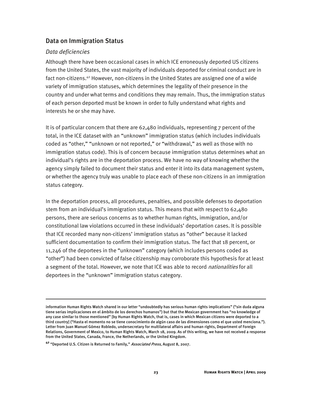## Data on Immigration Status

#### *Data deficiencies*

i

Although there have been occasional cases in which ICE erroneously deported US citizens from the United States, the vast majority of individuals deported for criminal conduct are in fact non-citizens.<sup>42</sup> However, non-citizens in the United States are assigned one of a wide variety of immigration statuses, which determines the legality of their presence in the country and under what terms and conditions they may remain. Thus, the immigration status of each person deported must be known in order to fully understand what rights and interests he or she may have.

It is of particular concern that there are 62,480 individuals, representing 7 percent of the total, in the ICE dataset with an "unknown" immigration status (which includes individuals coded as "other," "unknown or not reported," or "withdrawal," as well as those with no immigration status code). This is of concern because immigration status determines what an individual's rights are in the deportation process. We have no way of knowing whether the agency simply failed to document their status and enter it into its data management system, or whether the agency truly was unable to place each of these non-citizens in an immigration status category.

In the deportation process, all procedures, penalties, and possible defenses to deportation stem from an individual's immigration status. This means that with respect to 62,480 persons, there are serious concerns as to whether human rights, immigration, and/or constitutional law violations occurred in these individuals' deportation cases. It is possible that ICE recorded many non-citizens' immigration status as "other" because it lacked sufficient documentation to confirm their immigration status. The fact that 18 percent, or 11,246 of the deportees in the "unknown" category (which includes persons coded as "other") had been convicted of false citizenship may corroborate this hypothesis for at least a segment of the total. However, we note that ICE was able to record *nationalities* for all deportees in the "unknown" immigration status category.

information Human Rights Watch shared in our letter "undoubtedly has serious human rights implications" ("sin duda alguna tiene serias implicaciones en el ámbito de los derechos humanos") but that the Mexican government has "no knowledge of any case similar to those mentioned" [by Human Rights Watch, that is, cases in which Mexican citizens were deported to a third country] ("Hasta el momento no se tiene conocimiento de algún caso de las dimensiones como el que usted menciona."). Letter from Juan Manuel Gómez Robledo, undersecretary for multilateral affairs and human rights, Department of Foreign Relations, Government of Mexico, to Human Rights Watch, March 18, 2009. As of this writing, we have not received a response from the United States, Canada, France, the Netherlands, or the United Kingdom.

**<sup>42</sup>** "Deported U.S. Citizen is Returned to Family," Associated Press, August 8, 2007.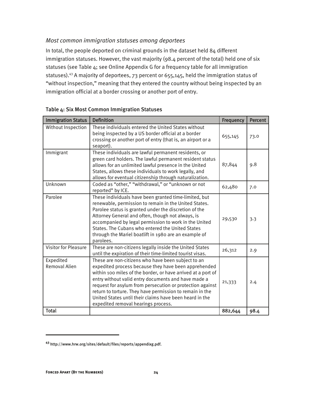### *Most common immigration statuses among deportees*

In total, the people deported on criminal grounds in the dataset held 84 different immigration statuses. However, the vast majority (98.4 percent of the total) held one of six statuses (see Table 4; see Online Appendix G for a frequency table for all immigration statuses).43 A majority of deportees, 73 percent or 655,145, held the immigration status of "without inspection," meaning that they entered the country without being inspected by an immigration official at a border crossing or another port of entry.

| <b>Immigration Status</b>         | <b>Definition</b>                                                                                                                                                                                                                                                                                                                                                                                                                                            | Frequency | <b>Percent</b> |
|-----------------------------------|--------------------------------------------------------------------------------------------------------------------------------------------------------------------------------------------------------------------------------------------------------------------------------------------------------------------------------------------------------------------------------------------------------------------------------------------------------------|-----------|----------------|
| Without Inspection                | These individuals entered the United States without<br>being inspected by a US border official at a border<br>crossing or another port of entry (that is, an airport or a<br>seaport).                                                                                                                                                                                                                                                                       | 655,145   | 73.0           |
| Immigrant                         | These individuals are lawful permanent residents, or<br>green card holders. The lawful permanent resident status<br>allows for an unlimited lawful presence in the United<br>States, allows these individuals to work legally, and<br>allows for eventual citizenship through naturalization.                                                                                                                                                                | 87,844    | 9.8            |
| Unknown                           | Coded as "other," "withdrawal," or "unknown or not<br>reported" by ICE.                                                                                                                                                                                                                                                                                                                                                                                      | 62,480    | 7.0            |
| Parolee                           | These individuals have been granted time-limited, but<br>renewable, permission to remain in the United States.<br>Parolee status is granted under the discretion of the<br>Attorney General and often, though not always, is<br>accompanied by legal permission to work in the United<br>States. The Cubans who entered the United States<br>through the Mariel boatlift in 1980 are an example of<br>parolees.                                              | 29,530    | 3.3            |
| <b>Visitor for Pleasure</b>       | These are non-citizens legally inside the United States<br>until the expiration of their time-limited tourist visas.                                                                                                                                                                                                                                                                                                                                         | 26,312    | 2.9            |
| Expedited<br><b>Removal Alien</b> | These are non-citizens who have been subject to an<br>expedited process because they have been apprehended<br>within 100 miles of the border, or have arrived at a port of<br>entry without valid entry documents and have made a<br>request for asylum from persecution or protection against<br>return to torture. They have permission to remain in the<br>United States until their claims have been heard in the<br>expedited removal hearings process. | 21,333    | 2.4            |
| Total                             |                                                                                                                                                                                                                                                                                                                                                                                                                                                              | 882,644   | 98.4           |

#### Table 4: Six Most Common Immigration Statuses

**<sup>43</sup>** http://www.hrw.org/sites/default/files/reports/appendixg.pdf.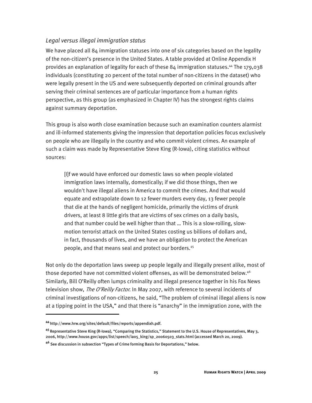#### *Legal versus illegal immigration status*

We have placed all 84 immigration statuses into one of six categories based on the legality of the non-citizen's presence in the United States. A table provided at Online Appendix H provides an explanation of legality for each of these  $84$  immigration statuses.<sup>44</sup> The 179,038 individuals (constituting 20 percent of the total number of non-citizens in the dataset) who were legally present in the US and were subsequently deported on criminal grounds after serving their criminal sentences are of particular importance from a human rights perspective, as this group (as emphasized in Chapter IV) has the strongest rights claims against summary deportation.

This group is also worth close examination because such an examination counters alarmist and ill-informed statements giving the impression that deportation policies focus exclusively on people who are illegally in the country and who commit violent crimes. An example of such a claim was made by Representative Steve King (R-Iowa), citing statistics without sources:

[I]f we would have enforced our domestic laws so when people violated immigration laws internally, domestically; if we did those things, then we wouldn't have illegal aliens in America to commit the crimes. And that would equate and extrapolate down to 12 fewer murders every day, 13 fewer people that die at the hands of negligent homicide, primarily the victims of drunk drivers, at least 8 little girls that are victims of sex crimes on a daily basis, and that number could be well higher than that … This is a slow-rolling, slowmotion terrorist attack on the United States costing us billions of dollars and, in fact, thousands of lives, and we have an obligation to protect the American people, and that means seal and protect our borders.45

Not only do the deportation laws sweep up people legally and illegally present alike, most of those deported have not committed violent offenses, as will be demonstrated below.<sup>46</sup> Similarly, Bill O'Reilly often lumps criminality and illegal presence together in his Fox News television show, *The O'Reilly Factor*. In May 2007, with reference to several incidents of criminal investigations of non-citizens, he said, "The problem of criminal illegal aliens is now at a tipping point in the USA," and that there is "anarchy" in the immigration zone, with the

**<sup>44</sup>**http://www.hrw.org/sites/default/files/reports/appendixh.pdf.

**<sup>45</sup>**Representative Steve King (R-Iowa), "Comparing the Statistics," Statement to the U.S. House of Representatives, May 3, 2006, http://www.house.gov/apps/list/speech/ia05\_king/sp\_20060503\_stats.html (accessed March 20, 2009).

**<sup>46</sup>** See discussion in subsection "Types of Crime forming Basis for Deportations," below.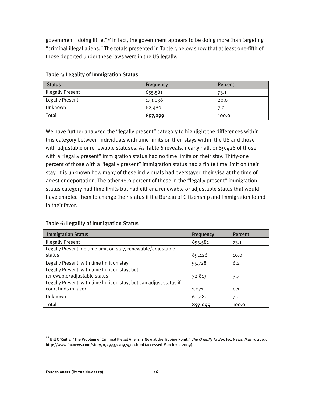government "doing little."47 In fact, the government appears to be doing more than targeting "criminal illegal aliens." The totals presented in Table 5 below show that at least one-fifth of those deported under these laws were in the US legally.

| <b>Status</b>            | <b>Frequency</b> | Percent |
|--------------------------|------------------|---------|
| <b>Illegally Present</b> | 655,581          | 73.1    |
| Legally Present          | 179,038          | 20.0    |
| Unknown                  | 62,480           | 7.0     |
| <b>Total</b>             | 897,099          | 100.0   |

#### Table 5: Legality of Immigration Status

We have further analyzed the "legally present" category to highlight the differences within this category between individuals with time limits on their stays within the US and those with adjustable or renewable statuses. As Table 6 reveals, nearly half, or 89,426 of those with a "legally present" immigration status had no time limits on their stay. Thirty-one percent of those with a "legally present" immigration status had a finite time limit on their stay. It is unknown how many of these individuals had overstayed their visa at the time of arrest or deportation. The other 18.9 percent of those in the "legally present" immigration status category had time limits but had either a renewable or adjustable status that would have enabled them to change their status if the Bureau of Citizenship and Immigration found in their favor.

#### Table 6: Legality of Immigration Status

| <b>Immigration Status</b>                                          | Frequency | Percent |
|--------------------------------------------------------------------|-----------|---------|
| <b>Illegally Present</b>                                           | 655,581   | 73.1    |
| Legally Present, no time limit on stay, renewable/adjustable       |           |         |
| status                                                             | 89,426    | 10.0    |
| Legally Present, with time limit on stay                           | 55,728    | 6.2     |
| Legally Present, with time limit on stay, but                      |           |         |
| renewable/adjustable status                                        | 32,813    | 3.7     |
| Legally Present, with time limit on stay, but can adjust status if |           |         |
| court finds in favor                                               | 1,071     | 0.1     |
| Unknown                                                            | 62,480    | 7.0     |
| <b>Total</b>                                                       | 897,099   | 100.0   |

**<sup>47</sup>** Bill O'Reilly, "The Problem of Criminal Illegal Aliens is Now at the Tipping Point," The O'Reilly Factor, Fox News, May 9, 2007, http://www.foxnews.com/story/0,2933,270974,00.html (accessed March 20, 2009).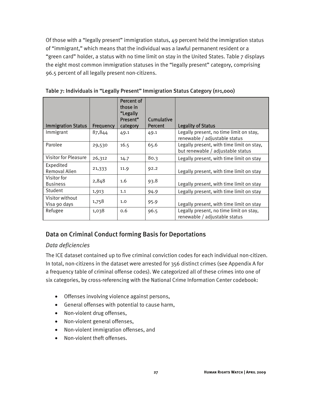Of those with a "legally present" immigration status, 49 percent held the immigration status of "immigrant," which means that the individual was a lawful permanent resident or a "green card" holder, a status with no time limit on stay in the United States. Table 7 displays the eight most common immigration statuses in the "legally present" category, comprising 96.5 percent of all legally present non-citizens.

| <b>Immigration Status</b>       | Frequency | Percent of<br>those in<br>"Legally<br>Present"<br>category | Cumulative<br><b>Percent</b> | <b>Legality of Status</b>                                                      |
|---------------------------------|-----------|------------------------------------------------------------|------------------------------|--------------------------------------------------------------------------------|
| Immigrant                       | 87,844    | 49.1                                                       | 49.1                         | Legally present, no time limit on stay,<br>renewable / adjustable status       |
| Parolee                         | 29,530    | 16.5                                                       | 65.6                         | Legally present, with time limit on stay,<br>but renewable / adjustable status |
| <b>Visitor for Pleasure</b>     | 26,312    | 14.7                                                       | 80.3                         | Legally present, with time limit on stay                                       |
| Expedited<br>Removal Alien      | 21,333    | 11.9                                                       | 92.2                         | Legally present, with time limit on stay                                       |
| Visitor for<br><b>Business</b>  | 2,848     | 1.6                                                        | 93.8                         | Legally present, with time limit on stay                                       |
| Student                         | 1,913     | 1.1                                                        | 94.9                         | Legally present, with time limit on stay                                       |
| Visitor without<br>Visa 90 days | 1,758     | 1.0                                                        | 95.9                         | Legally present, with time limit on stay                                       |
| Refugee                         | 1,038     | 0.6                                                        | 96.5                         | Legally present, no time limit on stay,<br>renewable / adjustable status       |

Table 7: Individuals in "Legally Present" Immigration Status Category (n>1,000)

## Data on Criminal Conduct forming Basis for Deportations

### *Data deficiencies*

The ICE dataset contained up to five criminal conviction codes for each individual non-citizen. In total, non-citizens in the dataset were arrested for 356 distinct crimes (see Appendix A for a frequency table of criminal offense codes). We categorized all of these crimes into one of six categories, by cross-referencing with the National Crime Information Center codebook:

- Offenses involving violence against persons,
- General offenses with potential to cause harm,
- Non-violent drug offenses,
- Non-violent general offenses,
- Non-violent immigration offenses, and
- Non-violent theft offenses.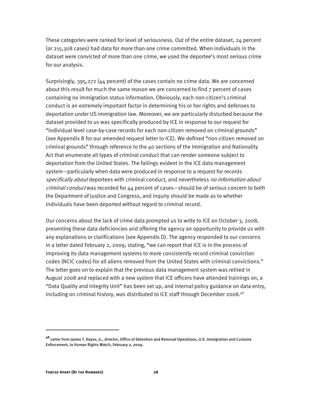These categories were ranked for level of seriousness. Out of the entire dataset, 24 percent (or 215,308 cases) had data for more than one crime committed. When individuals in the dataset were convicted of more than one crime, we used the deportee's most serious crime for our analysis.

Surprisingly, 395,272 (44 percent) of the cases contain no crime data. We are concerned about this result for much the same reason we are concerned to find 7 percent of cases containing no immigration status information. Obviously, each non-citizen's criminal conduct is an extremely important factor in determining his or her rights and defenses to deportation under US immigration law. Moreover, we are particularly disturbed because the dataset provided to us was specifically produced by ICE in response to our request for "individual level case-by-case records for each non-citizen removed on criminal grounds" (see Appendix B for our amended request letter to ICE). We defined "non-citizen removed on criminal grounds" through reference to the 40 sections of the Immigration and Nationality Act that enumerate all types of criminal conduct that can render someone subject to deportation from the United States. The failings evident in the ICE data management system—particularly when data were produced in response to a request for records specifically about deportees with criminal conduct, and nevertheless no information about criminal conduct was recorded for 44 percent of cases—should be of serious concern to both the Department of Justice and Congress, and inquiry should be made as to whether individuals have been deported without regard to criminal record.

Our concerns about the lack of crime data prompted us to write to ICE on October 3, 2008, presenting these data deficiencies and offering the agency an opportunity to provide us with any explanations or clarifications (see Appendix D). The agency responded to our concerns in a letter dated February 2, 2009, stating, "we can report that ICE is in the process of improving its data management systems to more consistently record criminal conviction codes (NCIC codes) for all aliens removed from the United States with criminal convictions." The letter goes on to explain that the previous data management system was retired in August 2008 and replaced with a new system that ICE officers have attended trainings on, a "Data Quality and Integrity Unit" has been set up, and internal policy guidance on data entry, including on criminal history, was distributed to ICE staff through December 2008.<sup>48</sup>

**<sup>48</sup>** Letter from James T. Hayes, Jr., director, Office of Detention and Removal Operations, U.S. Immigration and Customs Enforcement, to Human Rights Watch, February 2, 2009.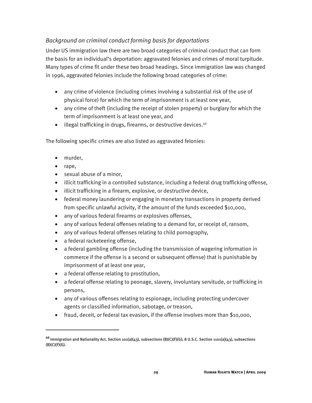## *Background on criminal conduct forming basis for deportations*

Under US immigration law there are two broad categories of criminal conduct that can form the basis for an individual's deportation: aggravated felonies and crimes of moral turpitude. Many types of crime fit under these two broad headings. Since immigration law was changed in 1996, aggravated felonies include the following broad categories of crime:

- any crime of violence (including crimes involving a substantial risk of the use of physical force) for which the term of imprisonment is at least one year,
- any crime of theft (including the receipt of stolen property) or burglary for which the term of imprisonment is at least one year, and
- illegal trafficking in drugs, firearms, or destructive devices.<sup>49</sup>

The following specific crimes are also listed as aggravated felonies:

- murder,
- rape,

- sexual abuse of a minor,
- illicit trafficking in a controlled substance, including a federal drug trafficking offense,
- illicit trafficking in a firearm, explosive, or destructive device,
- federal money laundering or engaging in monetary transactions in property derived from specific unlawful activity, if the amount of the funds exceeded \$10,000,
- any of various federal firearms or explosives offenses,
- any of various federal offenses relating to a demand for, or receipt of, ransom,
- any of various federal offenses relating to child pornography,
- a federal racketeering offense,
- a federal gambling offense (including the transmission of wagering information in commerce if the offense is a second or subsequent offense) that is punishable by imprisonment of at least one year,
- a federal offense relating to prostitution,
- a federal offense relating to peonage, slavery, involuntary servitude, or trafficking in persons,
- any of various offenses relating to espionage, including protecting undercover agents or classified information, sabotage, or treason,
- fraud, deceit, or federal tax evasion, if the offense involves more than \$10,000,

**<sup>49</sup>** Immigration and Nationality Act, Section 101(a)(43), subsections (B)(C)(F)(G); 8 U.S.C. Section 1101(a)(43), subsections  $(B)(C)(F)(G).$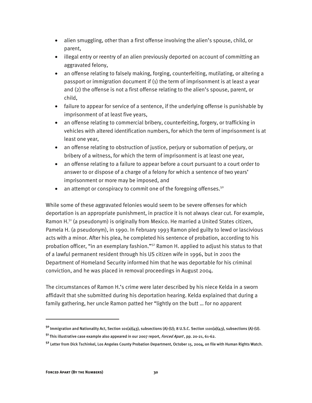- alien smuggling, other than a first offense involving the alien's spouse, child, or parent,
- illegal entry or reentry of an alien previously deported on account of committing an aggravated felony,
- an offense relating to falsely making, forging, counterfeiting, mutilating, or altering a passport or immigration document if (1) the term of imprisonment is at least a year and (2) the offense is not a first offense relating to the alien's spouse, parent, or child,
- failure to appear for service of a sentence, if the underlying offense is punishable by imprisonment of at least five years,
- an offense relating to commercial bribery, counterfeiting, forgery, or trafficking in vehicles with altered identification numbers, for which the term of imprisonment is at least one year,
- an offense relating to obstruction of justice, perjury or subornation of perjury, or bribery of a witness, for which the term of imprisonment is at least one year,
- an offense relating to a failure to appear before a court pursuant to a court order to answer to or dispose of a charge of a felony for which a sentence of two years' imprisonment or more may be imposed, and
- an attempt or conspiracy to commit one of the foregoing offenses.<sup>50</sup>

While some of these aggravated felonies would seem to be severe offenses for which deportation is an appropriate punishment, in practice it is not always clear cut. For example, Ramon H.<sup>51</sup> (a pseudonym) is originally from Mexico. He married a United States citizen, Pamela H. (a pseudonym), in 1990. In February 1993 Ramon pled guilty to lewd or lascivious acts with a minor. After his plea, he completed his sentence of probation, according to his probation officer, "in an exemplary fashion."<sup>52</sup> Ramon H. applied to adjust his status to that of a lawful permanent resident through his US citizen wife in 1996, but in 2001 the Department of Homeland Security informed him that he was deportable for his criminal conviction, and he was placed in removal proceedings in August 2004.

The circumstances of Ramon H.'s crime were later described by his niece Kelda in a sworn affidavit that she submitted during his deportation hearing. Kelda explained that during a family gathering, her uncle Ramon patted her "lightly on the butt … for no apparent

**<sup>50</sup>**Immigration and Nationality Act, Section 101(a)(43), subsections (A)-(U); 8 U.S.C. Section 1101(a)(43), subsections (A)-(U). **<sup>51</sup>**This illustrative case example also appeared in our 2007 report, Forced Apart , pp. 20-21, 61-62.

**<sup>52</sup>** Letter from Dick Tschinkel, Los Angeles County Probation Department, October 15, 2004, on file with Human Rights Watch.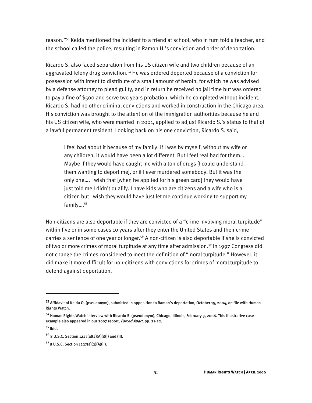reason."53 Kelda mentioned the incident to a friend at school, who in turn told a teacher, and the school called the police, resulting in Ramon H.'s conviction and order of deportation.

Ricardo S. also faced separation from his US citizen wife and two children because of an aggravated felony drug conviction.<sup>54</sup> He was ordered deported because of a conviction for possession with intent to distribute of a small amount of heroin, for which he was advised by a defense attorney to plead guilty, and in return he received no jail time but was ordered to pay a fine of \$500 and serve two years probation, which he completed without incident. Ricardo S. had no other criminal convictions and worked in construction in the Chicago area. His conviction was brought to the attention of the immigration authorities because he and his US citizen wife, who were married in 2001, applied to adjust Ricardo S.'s status to that of a lawful permanent resident. Looking back on his one conviction, Ricardo S. said,

I feel bad about it because of my family. If I was by myself, without my wife or any children, it would have been a lot different. But I feel real bad for them…. Maybe if they would have caught me with a ton of drugs [I could understand them wanting to deport me], or if I ever murdered somebody. But it was the only one…. I wish that [when he applied for his green card] they would have just told me I didn't qualify. I have kids who are citizens and a wife who is a citizen but I wish they would have just let me continue working to support my family....<sup>55</sup>

Non-citizens are also deportable if they are convicted of a "crime involving moral turpitude" within five or in some cases 10 years after they enter the United States and their crime carries a sentence of one year or longer.<sup>56</sup> A non-citizen is also deportable if she is convicted of two or more crimes of moral turpitude at any time after admission.<sup>57</sup> In 1997 Congress did not change the crimes considered to meet the definition of "moral turpitude." However, it did make it more difficult for non-citizens with convictions for crimes of moral turpitude to defend against deportation.

**<sup>53</sup>** Affidavit of Kelda O. (pseudonym), submitted in opposition to Ramon's deportation, October 15, 2004, on file with Human Rights Watch.

**<sup>54</sup>** Human Rights Watch interview with Ricardo S. (pseudonym), Chicago, Illinois, February 3, 2006. This illustrative case example also appeared in our 2007 report, *Forced Apart*, pp. 21-22.

**<sup>55</sup>**Ibid.

**<sup>56</sup>** 8 U.S.C. Section 1227(a)(2)(A)(i)(I) and (II).

**<sup>57</sup>**8 U.S.C. Section 1227(a)(2)(A)(ii).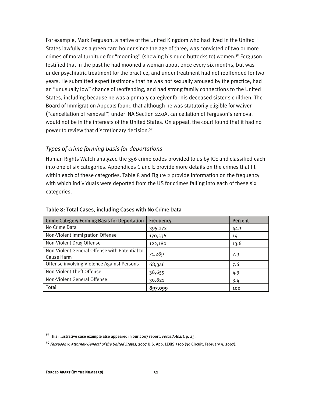For example, Mark Ferguson, a native of the United Kingdom who had lived in the United States lawfully as a green card holder since the age of three, was convicted of two or more crimes of moral turpitude for "mooning" (showing his nude buttocks to) women.<sup>58</sup> Ferguson testified that in the past he had mooned a woman about once every six months, but was under psychiatric treatment for the practice, and under treatment had not reoffended for two years. He submitted expert testimony that he was not sexually aroused by the practice, had an "unusually low" chance of reoffending, and had strong family connections to the United States, including because he was a primary caregiver for his deceased sister's children. The Board of Immigration Appeals found that although he was statutorily eligible for waiver ("cancellation of removal") under INA Section 240A, cancellation of Ferguson's removal would not be in the interests of the United States. On appeal, the court found that it had no power to review that discretionary decision.59

### *Types of crime forming basis for deportations*

Human Rights Watch analyzed the 356 crime codes provided to us by ICE and classified each into one of six categories. Appendices C and E provide more details on the crimes that fit within each of these categories. Table 8 and Figure 2 provide information on the frequency with which individuals were deported from the US for crimes falling into each of these six categories.

| <b>Crime Category Forming Basis for Deportation</b>         | <b>Frequency</b> | <b>Percent</b> |
|-------------------------------------------------------------|------------------|----------------|
| No Crime Data                                               | 395,272          | 44.1           |
| Non-Violent Immigration Offense                             | 170,536          | 19             |
| Non-Violent Drug Offense                                    | 122,180          | 13.6           |
| Non-Violent General Offense with Potential to<br>Cause Harm | 71,289           | 7.9            |
| Offense involving Violence Against Persons                  | 68,346           | 7.6            |
| Non-Violent Theft Offense                                   | 38,655           | 4.3            |
| Non-Violent General Offense                                 | 30,821           | 3.4            |
| <b>Total</b>                                                | 897,099          | 100            |

#### Table 8: Total Cases, including Cases with No Crime Data

**<sup>58</sup>**This illustrative case example also appeared in our 2007 report, Forced Apart, p. 23.

**<sup>59</sup>**Ferguson v. Attorney General of the United States, 2007 U.S. App. LEXIS 3100 (3d Circuit, February 9, 2007).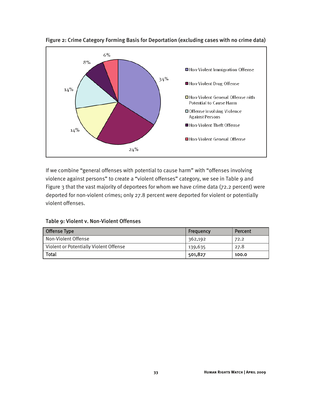

Figure 2: Crime Category Forming Basis for Deportation (excluding cases with no crime data)

If we combine "general offenses with potential to cause harm" with "offenses involving violence against persons" to create a "violent offenses" category, we see in Table 9 and Figure 3 that the vast majority of deportees for whom we have crime data (72.2 percent) were deported for non-violent crimes; only 27.8 percent were deported for violent or potentially violent offenses.

| <b>Offense Type</b>                    | Frequency | Percent |
|----------------------------------------|-----------|---------|
| Non-Violent Offense                    | 362,192   | 72.2    |
| Violent or Potentially Violent Offense | 139,635   | 27.8    |
| <b>Total</b>                           | 501,827   | 100.0   |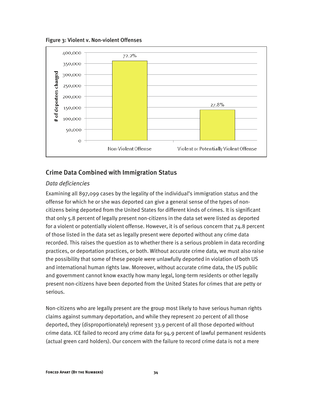Figure 3: Violent v. Non-violent Offenses



## Crime Data Combined with Immigration Status

#### *Data deficiencies*

Examining all 897,099 cases by the legality of the individual's immigration status and the offense for which he or she was deported can give a general sense of the types of noncitizens being deported from the United States for different kinds of crimes. It is significant that only 5.8 percent of legally present non-citizens in the data set were listed as deported for a violent or potentially violent offense. However, it is of serious concern that 74.8 percent of those listed in the data set as legally present were deported without any crime data recorded. This raises the question as to whether there is a serious problem in data recording practices, or deportation practices, or both. Without accurate crime data, we must also raise the possibility that some of these people were unlawfully deported in violation of both US and international human rights law. Moreover, without accurate crime data, the US public and government cannot know exactly how many legal, long-term residents or other legally present non-citizens have been deported from the United States for crimes that are petty or serious.

Non-citizens who are legally present are the group most likely to have serious human rights claims against summary deportation, and while they represent 20 percent of all those deported, they (disproportionately) represent 33.9 percent of all those deported without crime data. ICE failed to record any crime data for 94.9 percent of lawful permanent residents (actual green card holders). Our concern with the failure to record crime data is not a mere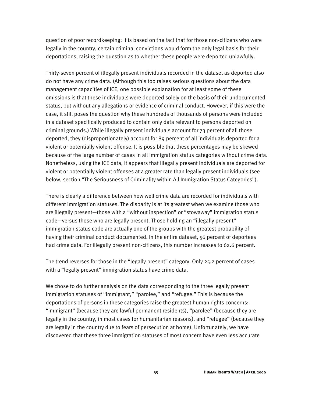question of poor recordkeeping: It is based on the fact that for those non-citizens who were legally in the country, certain criminal convictions would form the only legal basis for their deportations, raising the question as to whether these people were deported unlawfully.

Thirty-seven percent of illegally present individuals recorded in the dataset as deported also do not have any crime data. (Although this too raises serious questions about the data management capacities of ICE, one possible explanation for at least some of these omissions is that these individuals were deported solely on the basis of their undocumented status, but without any allegations or evidence of criminal conduct. However, if this were the case, it still poses the question why these hundreds of thousands of persons were included in a dataset specifically produced to contain only data relevant to persons deported on criminal grounds.) While illegally present individuals account for 73 percent of all those deported, they (disproportionately) account for 89 percent of all individuals deported for a violent or potentially violent offense. It is possible that these percentages may be skewed because of the large number of cases in all immigration status categories without crime data. Nonetheless, using the ICE data, it appears that illegally present individuals are deported for violent or potentially violent offenses at a greater rate than legally present individuals (see below, section "The Seriousness of Criminality within All Immigration Status Categories").

There is clearly a difference between how well crime data are recorded for individuals with different immigration statuses. The disparity is at its greatest when we examine those who are illegally present—those with a "without inspection" or "stowaway" immigration status code—versus those who are legally present. Those holding an "illegally present" immigration status code are actually one of the groups with the greatest probability of having their criminal conduct documented. In the entire dataset, 56 percent of deportees had crime data. For illegally present non-citizens, this number increases to 62.6 percent.

The trend reverses for those in the "legally present" category. Only 25.2 percent of cases with a "legally present" immigration status have crime data.

We chose to do further analysis on the data corresponding to the three legally present immigration statuses of "immigrant," "parolee," and "refugee." This is because the deportations of persons in these categories raise the greatest human rights concerns: "immigrant" (because they are lawful permanent residents), "parolee" (because they are legally in the country, in most cases for humanitarian reasons), and "refugee" (because they are legally in the country due to fears of persecution at home). Unfortunately, we have discovered that these three immigration statuses of most concern have even less accurate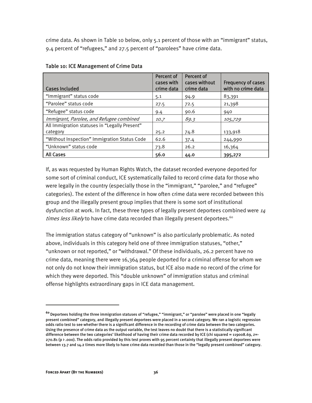crime data. As shown in Table 10 below, only 5.1 percent of those with an "immigrant" status, 9.4 percent of "refugees," and 27.5 percent of "parolees" have crime data.

| <b>Cases Included</b>                                     | Percent of<br>cases with<br>crime data | Percent of<br>cases without<br>crime data | <b>Frequency of cases</b><br>with no crime data |
|-----------------------------------------------------------|----------------------------------------|-------------------------------------------|-------------------------------------------------|
| "Immigrant" status code                                   | 5.1                                    | 94.9                                      | 83,391                                          |
| "Parolee" status code                                     | 27.5                                   | 72.5                                      | 21,398                                          |
| "Refugee" status code                                     | 9.4                                    | 90.6                                      | 940                                             |
| Immigrant, Parolee, and Refugee combined                  | 10.7                                   | 89.3                                      | 105,729                                         |
| All Immigration statuses in "Legally Present"<br>category | 25.2                                   | 74.8                                      | 133,918                                         |
| "Without Inspection" Immigration Status Code              | 62.6                                   | 37.4                                      | 244,990                                         |
| "Unknown" status code                                     | 73.8                                   | 26.2                                      | 16,364                                          |
| <b>All Cases</b>                                          | 56.0                                   | 44.0                                      | 395,272                                         |

#### Table 10: ICE Management of Crime Data

If, as was requested by Human Rights Watch, the dataset recorded everyone deported for some sort of criminal conduct, ICE systematically failed to record crime data for those who were legally in the country (especially those in the "immigrant," "parolee," and "refugee" categories). The extent of the difference in how often crime data were recorded between this group and the illegally present group implies that there is some sort of institutional dysfunction at work. In fact, these three types of legally present deportees combined were  $14$ times less likely to have crime data recorded than illegally present deportees.<sup>60</sup>

The immigration status category of "unknown" is also particularly problematic. As noted above, individuals in this category held one of three immigration statuses, "other," "unknown or not reported," or "withdrawal." Of these individuals, 26.2 percent have no crime data, meaning there were 16,364 people deported for a criminal offense for whom we not only do not know their immigration status, but ICE also made no record of the crime for which they were deported. This "double unknown" of immigration status and criminal offense highlights extraordinary gaps in ICE data management.

**<sup>60</sup>**Deportees holding the three immigration statuses of "refugee," "immigrant," or "parolee" were placed in one "legally present combined" category, and illegally present deportees were placed in a second category. We ran a logistic regression odds ratio test to see whether there is a significant difference in the recording of crime data between the two categories. Using the presence of crime data as the output variable, the test leaves no doubt that there is a statistically significant difference between the two categories' likelihood of having their crime data recorded by ICE (chi squared = 119008.69, z=-270.81 (p > .000). The odds ratio provided by this test proves with 95 percent certainty that illegally present deportees were between 13.7 and 14.2 times more likely to have crime data recorded than those in the "legally present combined" category.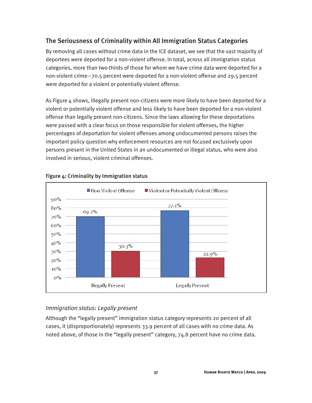## The Seriousness of Criminality within All Immigration Status Categories

By removing all cases without crime data in the ICE dataset, we see that the vast majority of deportees were deported for a non-violent offense. In total, across all immigration status categories, more than two-thirds of those for whom we have crime data were deported for a non-violent crime—70.5 percent were deported for a non-violent offense and 29.5 percent were deported for a violent or potentially violent offense.

As Figure 4 shows, illegally present non-citizens were more likely to have been deported for a violent or potentially violent offense and less likely to have been deported for a non-violent offense than legally present non-citizens. Since the laws allowing for these deportations were passed with a clear focus on those responsible for violent offenses, the higher percentages of deportation for violent offenses among undocumented persons raises the important policy question why enforcement resources are not focused exclusively upon persons present in the United States in an undocumented or illegal status, who were also involved in serious, violent criminal offenses.



### Figure 4: Criminality by Immigration status

## *Immigration status: Legally present*

Although the "legally present" immigration status category represents 20 percent of all cases, it (disproportionately) represents 33.9 percent of all cases with no crime data. As noted above, of those in the "legally present" category, 74.8 percent have no crime data.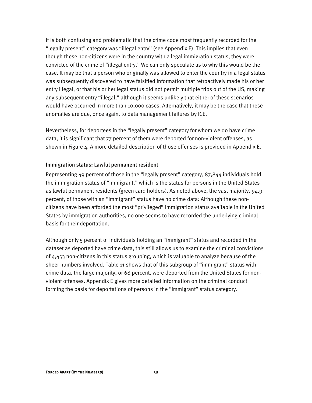It is both confusing and problematic that the crime code most frequently recorded for the "legally present" category was "illegal entry" (see Appendix E). This implies that even though these non-citizens were in the country with a legal immigration status, they were convicted of the crime of "illegal entry." We can only speculate as to why this would be the case. It may be that a person who originally was allowed to enter the country in a legal status was subsequently discovered to have falsified information that retroactively made his or her entry illegal, or that his or her legal status did not permit multiple trips out of the US, making any subsequent entry "illegal," although it seems unlikely that either of these scenarios would have occurred in more than 10,000 cases. Alternatively, it may be the case that these anomalies are due, once again, to data management failures by ICE.

Nevertheless, for deportees in the "legally present" category for whom we do have crime data, it is significant that 77 percent of them were deported for non-violent offenses, as shown in Figure 4. A more detailed description of those offenses is provided in Appendix E.

#### Immigration status: Lawful permanent resident

Representing 49 percent of those in the "legally present" category, 87,844 individuals hold the immigration status of "immigrant," which is the status for persons in the United States as lawful permanent residents (green card holders). As noted above, the vast majority, 94.9 percent, of those with an "immigrant" status have no crime data: Although these noncitizens have been afforded the most "privileged" immigration status available in the United States by immigration authorities, no one seems to have recorded the underlying criminal basis for their deportation.

Although only 5 percent of individuals holding an "immigrant" status and recorded in the dataset as deported have crime data, this still allows us to examine the criminal convictions of 4,453 non-citizens in this status grouping, which is valuable to analyze because of the sheer numbers involved. Table 11 shows that of this subgroup of "immigrant" status with crime data, the large majority, or 68 percent, were deported from the United States for nonviolent offenses. Appendix E gives more detailed information on the criminal conduct forming the basis for deportations of persons in the "immigrant" status category.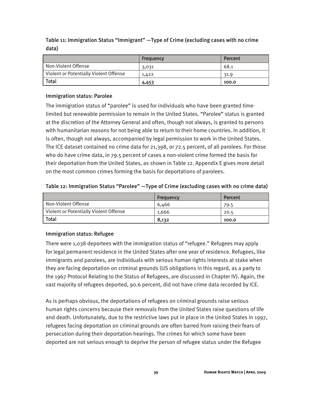Table 11: Immigration Status "Immigrant" —Type of Crime (excluding cases with no crime data)

|                                        | Frequency | Percent |
|----------------------------------------|-----------|---------|
| Non-Violent Offense                    | 3,031     | 68.1    |
| Violent or Potentially Violent Offense | 1,422     | 31.9    |
| <b>Total</b>                           | 4,453     | 100.0   |

#### Immigration status: Parolee

The immigration status of "parolee" is used for individuals who have been granted timelimited but renewable permission to remain in the United States. "Parolee" status is granted at the discretion of the Attorney General and often, though not always, is granted to persons with humanitarian reasons for not being able to return to their home countries. In addition, it is often, though not always, accompanied by legal permission to work in the United States. The ICE dataset contained no crime data for 21,398, or 72.5 percent, of all parolees. For those who do have crime data, in 79.5 percent of cases a non-violent crime formed the basis for their deportation from the United States, as shown in Table 12. Appendix E gives more detail on the most common crimes forming the basis for deportations of parolees.

#### Table 12: Immigration Status "Parolee" —Type of Crime (excluding cases with no crime data)

|                                        | Frequency | Percent |
|----------------------------------------|-----------|---------|
| Non-Violent Offense                    | 6.466     | 79.5    |
| Violent or Potentially Violent Offense | 1.666     | 20.5    |
| <b>Total</b>                           | 8,132     | 100.0   |

#### Immigration status: Refugee

There were 1,038 deportees with the immigration status of "refugee." Refugees may apply for legal permanent residence in the United States after one year of residence. Refugees, like immigrants and parolees, are individuals with serious human rights interests at stake when they are facing deportation on criminal grounds (US obligations in this regard, as a party to the 1967 Protocol Relating to the Status of Refugees, are discussed in Chapter IV). Again, the vast majority of refugees deported, 90.6 percent, did not have crime data recorded by ICE.

As is perhaps obvious, the deportations of refugees on criminal grounds raise serious human rights concerns because their removals from the United States raise questions of life and death. Unfortunately, due to the restrictive laws put in place in the United States in 1997, refugees facing deportation on criminal grounds are often barred from raising their fears of persecution during their deportation hearings. The crimes for which some have been deported are not serious enough to deprive the person of refugee status under the Refugee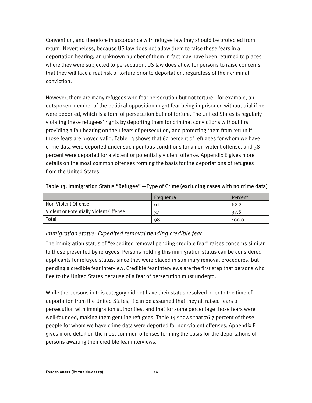Convention, and therefore in accordance with refugee law they should be protected from return. Nevertheless, because US law does not allow them to raise these fears in a deportation hearing, an unknown number of them in fact may have been returned to places where they were subjected to persecution. US law does allow for persons to raise concerns that they will face a real risk of torture prior to deportation, regardless of their criminal conviction.

However, there are many refugees who fear persecution but not torture—for example, an outspoken member of the political opposition might fear being imprisoned without trial if he were deported, which is a form of persecution but not torture. The United States is regularly violating these refugees' rights by deporting them for criminal convictions without first providing a fair hearing on their fears of persecution, and protecting them from return if those fears are proved valid. Table 13 shows that 62 percent of refugees for whom we have crime data were deported under such perilous conditions for a non-violent offense, and 38 percent were deported for a violent or potentially violent offense. Appendix E gives more details on the most common offenses forming the basis for the deportations of refugees from the United States.

|                                        | Frequency | Percent |
|----------------------------------------|-----------|---------|
| Non-Violent Offense                    | 61        | 62.2    |
| Violent or Potentially Violent Offense |           | 37.8    |
| <b>Total</b>                           | 98        | 100.0   |

#### Table 13: Immigration Status "Refugee" —Type of Crime (excluding cases with no crime data)

#### *Immigration status: Expedited removal pending credible fear*

The immigration status of "expedited removal pending credible fear" raises concerns similar to those presented by refugees. Persons holding this immigration status can be considered applicants for refugee status, since they were placed in summary removal procedures, but pending a credible fear interview. Credible fear interviews are the first step that persons who flee to the United States because of a fear of persecution must undergo.

While the persons in this category did not have their status resolved prior to the time of deportation from the United States, it can be assumed that they all raised fears of persecution with immigration authorities, and that for some percentage those fears were well-founded, making them genuine refugees. Table 14 shows that 76.7 percent of these people for whom we have crime data were deported for non-violent offenses. Appendix E gives more detail on the most common offenses forming the basis for the deportations of persons awaiting their credible fear interviews.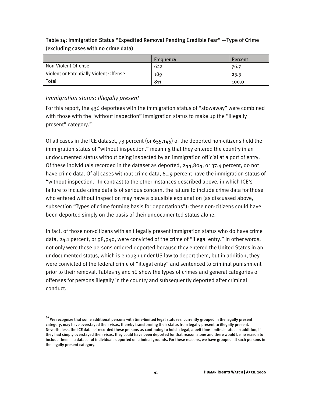Table 14: Immigration Status "Expedited Removal Pending Credible Fear" —Type of Crime (excluding cases with no crime data)

|                                        | <b>Frequency</b> | Percent |
|----------------------------------------|------------------|---------|
| Non-Violent Offense                    | 622              | 76.7    |
| Violent or Potentially Violent Offense | 189              | 23.3    |
| <b>Total</b>                           | 811              | 100.0   |

## *Immigration status: Illegally present*

j

For this report, the 436 deportees with the immigration status of "stowaway" were combined with those with the "without inspection" immigration status to make up the "illegally present" category.<sup>61</sup>

Of all cases in the ICE dataset, 73 percent (or 655,145) of the deported non-citizens held the immigration status of "without inspection," meaning that they entered the country in an undocumented status without being inspected by an immigration official at a port of entry. Of these individuals recorded in the dataset as deported, 244,804, or 37.4 percent, do not have crime data. Of all cases without crime data, 61.9 percent have the immigration status of "without inspection." In contrast to the other instances described above, in which ICE's failure to include crime data is of serious concern, the failure to include crime data for those who entered without inspection may have a plausible explanation (as discussed above, subsection "Types of crime forming basis for deportations"): these non-citizens could have been deported simply on the basis of their undocumented status alone.

In fact, of those non-citizens with an illegally present immigration status who do have crime data, 24.1 percent, or 98,940, were convicted of the crime of "illegal entry." In other words, not only were these persons ordered deported because they entered the United States in an undocumented status, which is enough under US law to deport them, but in addition, they were convicted of the federal crime of "illegal entry" and sentenced to criminal punishment prior to their removal. Tables 15 and 16 show the types of crimes and general categories of offenses for persons illegally in the country and subsequently deported after criminal conduct.

**<sup>61</sup>** We recognize that some additional persons with time-limited legal statuses, currently grouped in the legally present category, may have overstayed their visas, thereby transforming their status from legally present to illegally present. Nevertheless, the ICE dataset recorded these persons as continuing to hold a legal, albeit time-limited status. In addition, if they had simply overstayed their visas, they could have been deported for that reason alone and there would be no reason to include them in a dataset of individuals deported on criminal grounds. For these reasons, we have grouped all such persons in the legally present category.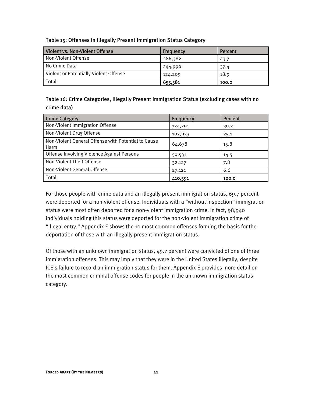| Violent vs. Non-Violent Offense        | Frequency | Percent |
|----------------------------------------|-----------|---------|
| Non-Violent Offense                    | 286,382   | 43.7    |
| No Crime Data                          | 244,990   | 37.4    |
| Violent or Potentially Violent Offense | 124,209   | 18.9    |
| <b>Total</b>                           | 655,581   | 100.0   |

Table 15: Offenses in Illegally Present Immigration Status Category

Table 16: Crime Categories, Illegally Present Immigration Status (excluding cases with no crime data)

| <b>Crime Category</b>                                       | Frequency | Percent |
|-------------------------------------------------------------|-----------|---------|
| Non-Violent Immigration Offense                             | 124,201   | 30.2    |
| Non-Violent Drug Offense                                    | 102,933   | 25.1    |
| Non-Violent General Offense with Potential to Cause<br>Harm | 64,678    | 15.8    |
| Offense Involving Violence Against Persons                  | 59,531    | 14.5    |
| Non-Violent Theft Offense                                   | 32,127    | 7.8     |
| Non-Violent General Offense                                 | 27,121    | 6.6     |
| Total                                                       | 410,591   | 100.0   |

For those people with crime data and an illegally present immigration status, 69.7 percent were deported for a non-violent offense. Individuals with a "without inspection" immigration status were most often deported for a non-violent immigration crime. In fact, 98,940 individuals holding this status were deported for the non-violent immigration crime of "illegal entry." Appendix E shows the 10 most common offenses forming the basis for the deportation of those with an illegally present immigration status.

Of those with an unknown immigration status, 49.7 percent were convicted of one of three immigration offenses. This may imply that they were in the United States illegally, despite ICE's failure to record an immigration status for them. Appendix E provides more detail on the most common criminal offense codes for people in the unknown immigration status category.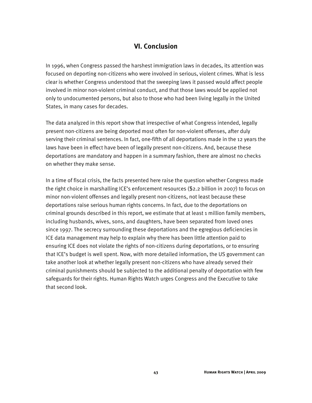## **VI. Conclusion**

In 1996, when Congress passed the harshest immigration laws in decades, its attention was focused on deporting non-citizens who were involved in serious, violent crimes. What is less clear is whether Congress understood that the sweeping laws it passed would affect people involved in minor non-violent criminal conduct, and that those laws would be applied not only to undocumented persons, but also to those who had been living legally in the United States, in many cases for decades.

The data analyzed in this report show that irrespective of what Congress intended, legally present non-citizens are being deported most often for non-violent offenses, after duly serving their criminal sentences. In fact, one-fifth of all deportations made in the 12 years the laws have been in effect have been of legally present non-citizens. And, because these deportations are mandatory and happen in a summary fashion, there are almost no checks on whether they make sense.

In a time of fiscal crisis, the facts presented here raise the question whether Congress made the right choice in marshalling ICE's enforcement resources (\$2.2 billion in 2007) to focus on minor non-violent offenses and legally present non-citizens, not least because these deportations raise serious human rights concerns. In fact, due to the deportations on criminal grounds described in this report, we estimate that at least 1 million family members, including husbands, wives, sons, and daughters, have been separated from loved ones since 1997. The secrecy surrounding these deportations and the egregious deficiencies in ICE data management may help to explain why there has been little attention paid to ensuring ICE does not violate the rights of non-citizens during deportations, or to ensuring that ICE's budget is well spent. Now, with more detailed information, the US government can take another look at whether legally present non-citizens who have already served their criminal punishments should be subjected to the additional penalty of deportation with few safeguards for their rights. Human Rights Watch urges Congress and the Executive to take that second look.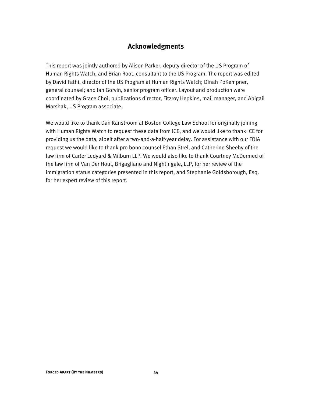## **Acknowledgments**

This report was jointly authored by Alison Parker, deputy director of the US Program of Human Rights Watch, and Brian Root, consultant to the US Program. The report was edited by David Fathi, director of the US Program at Human Rights Watch; Dinah PoKempner, general counsel; and Ian Gorvin, senior program officer. Layout and production were coordinated by Grace Choi, publications director, Fitzroy Hepkins, mail manager, and Abigail Marshak, US Program associate.

We would like to thank Dan Kanstroom at Boston College Law School for originally joining with Human Rights Watch to request these data from ICE, and we would like to thank ICE for providing us the data, albeit after a two-and-a-half-year delay. For assistance with our FOIA request we would like to thank pro bono counsel Ethan Strell and Catherine Sheehy of the law firm of Carter Ledyard & Milburn LLP. We would also like to thank Courtney McDermed of the law firm of Van Der Hout, Brigagliano and Nightingale, LLP, for her review of the immigration status categories presented in this report, and Stephanie Goldsborough, Esq. for her expert review of this report.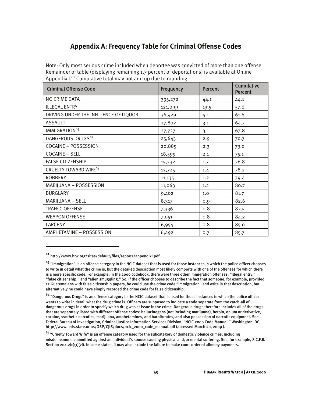## **Appendix A: Frequency Table for Criminal Offense Codes**

Note: Only most serious crime included when deportee was convicted of more than one offense. Remainder of table (displaying remaining 1.7 percent of deportations) is available at Online Appendix  $I^{62}$  Cumulative total may not add up due to rounding.

| <b>Criminal Offense Code</b>          | Frequency | Percent | <b>Cumulative</b><br>Percent |
|---------------------------------------|-----------|---------|------------------------------|
| NO CRIME DATA                         | 395,272   | 44.1    | 44.1                         |
| <b>ILLEGAL ENTRY</b>                  | 121,099   | 13.5    | 57.6                         |
| DRIVING UNDER THE INFLUENCE OF LIQUOR | 36,429    | 4.1     | 61.6                         |
| <b>ASSAULT</b>                        | 27,802    | 3.1     | 64.7                         |
| IMMIGRATION <sup>63</sup>             | 27,727    | 3.1     | 67.8                         |
| DANGEROUS DRUGS <sup>64</sup>         | 25,643    | 2.9     | 70.7                         |
| <b>COCAINE - POSSESSION</b>           | 20,885    | 2.3     | 73.0                         |
| <b>COCAINE - SELL</b>                 | 18,599    | 2.1     | 75.1                         |
| <b>FALSE CITIZENSHIP</b>              | 15,232    | 1.7     | 76.8                         |
| CRUELTY TOWARD WIFE <sup>65</sup>     | 12,725    | 1.4     | 78.2                         |
| <b>ROBBERY</b>                        | 11,135    | 1.2     | 79.4                         |
| MARIJUANA - POSSESSION                | 11,063    | 1.2     | 80.7                         |
| <b>BURGLARY</b>                       | 9,402     | 1.0     | 81.7                         |
| MARIJUANA - SELL                      | 8,317     | 0.9     | 82.6                         |
| <b>TRAFFIC OFFENSE</b>                | 7,336     | 0.8     | 83.5                         |
| <b>WEAPON OFFENSE</b>                 | 7,051     | 0.8     | 84.2                         |
| LARCENY                               | 6,954     | 0.8     | 85.0                         |
| AMPHETAMINE - POSSESSION              | 6,492     | 0.7     | 85.7                         |

**<sup>62</sup>** http://www.hrw.org/sites/default/files/reports/appendixi.pdf.

**<sup>63</sup>** "Immigration" is an offense category in the NCIC dataset that is used for those instances in which the police officer chooses to write in detail what the crime is, but the detailed description most likely comports with one of the offenses for which there is a more specific code. For example, in the 2000 codebook, there were three other immigration offenses: "illegal entry," "false citizenship," and "alien smuggling." So, if the officer chooses to describe the fact that someone, for example, provided 12 Guatemalans with false citizenship papers, he could use the crime code "immigration" and write in that description, but alternatively he could have simply recorded the crime code for false citizenship.

**<sup>64</sup>** "Dangerous Drugs" is an offense category in the NCIC dataset that is used for those instances in which the police officer wants to write in detail what the drug crime is. Officers are supposed to indicate a code separate from the catch-all of dangerous drugs in order to specify which drug was at issue in the crime. Dangerous drugs therefore includes all of the drugs that are separately listed with different offense codes: hallucinogens (not including marijuana), heroin, opium or derivative, cocaine, synthetic narcotics, marijuana, amphetamines, and barbiturates, and also possession of narcotic equipment. See Federal Bureau of Investigation, Criminal Justice Information Services Division, "NCIC 2000 Code Manual," Washington, DC, http://www.leds.state.or.us/OSP/CJIS/docs/ncic\_2000\_code\_manual.pdf (accessed March 20, 2009 ).

**<sup>65</sup>** "Cruelty Toward Wife" is an offense category used for the subcategory of domestic violence crimes, including misdemeanors, committed against an individual's spouse causing physical and/or mental suffering. See, for example, 8 C.F.R. Section 204.2(c)(1)(vi). In some states, it may also include the failure to make court-ordered alimony payments.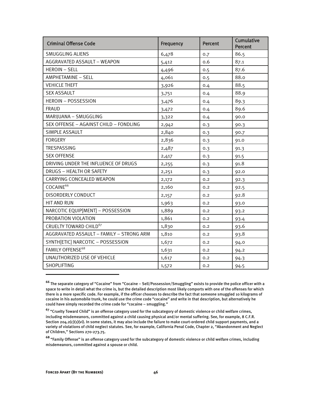| <b>Criminal Offense Code</b>             | Frequency | <b>Percent</b> | <b>Cumulative</b><br>Percent |
|------------------------------------------|-----------|----------------|------------------------------|
| <b>SMUGGLING ALIENS</b>                  | 6,478     | 0.7            | 86.5                         |
| AGGRAVATED ASSAULT - WEAPON              | 5,412     | 0.6            | 87.1                         |
| <b>HEROIN - SELL</b>                     | 4,496     | 0.5            | 87.6                         |
| AMPHETAMINE - SELL                       | 4,061     | 0.5            | 88.0                         |
| <b>VEHICLE THEFT</b>                     | 3,926     | 0.4            | 88.5                         |
| <b>SEX ASSAULT</b>                       | 3,751     | 0.4            | 88.9                         |
| <b>HEROIN - POSSESSION</b>               | 3,476     | 0.4            | 89.3                         |
| <b>FRAUD</b>                             | 3,472     | 0.4            | 89.6                         |
| MARIJUANA - SMUGGLING                    | 3,322     | 0.4            | 90.0                         |
| SEX OFFENSE - AGAINST CHILD - FONDLING   | 2,942     | 0.3            | 90.3                         |
| SIMPLE ASSAULT                           | 2,840     | 0.3            | 90.7                         |
| <b>FORGERY</b>                           | 2,836     | 0.3            | 91.0                         |
| <b>TRESPASSING</b>                       | 2,487     | 0.3            | 91.3                         |
| <b>SEX OFFENSE</b>                       | 2,417     | 0.3            | 91.5                         |
| DRIVING UNDER THE INFLUENCE OF DRUGS     | 2,255     | 0.3            | 91.8                         |
| DRUGS - HEALTH OR SAFETY                 | 2,251     | 0.3            | 92.0                         |
| CARRYING CONCEALED WEAPON                | 2,172     | 0.2            | 92.3                         |
| COCAINE <sup>66</sup>                    | 2,160     | 0.2            | 92.5                         |
| <b>DISORDERLY CONDUCT</b>                | 2,157     | 0.2            | 92.8                         |
| <b>HIT AND RUN</b>                       | 1,963     | 0.2            | 93.0                         |
| NARCOTIC EQUIP[MENT] - POSSESSION        | 1,889     | 0.2            | 93.2                         |
| PROBATION VIOLATION                      | 1,861     | 0.2            | 93.4                         |
| CRUELTY TOWARD CHILD <sup>67</sup>       | 1,830     | 0.2            | 93.6                         |
| AGGRAVATED ASSAULT - FAMILY - STRONG ARM | 1,810     | 0.2            | 93.8                         |
| SYNTH[ETIC] NARCOTIC - POSSESSION        | 1,672     | 0.2            | 94.0                         |
| <b>FAMILY OFFENSE<sup>68</sup></b>       | 1,631     | 0.2            | 94.2                         |
| UNAUTHORIZED USE OF VEHICLE              | 1,617     | 0.2            | 94.3                         |
| <b>SHOPLIFTING</b>                       | 1,572     | 0.2            | 94.5                         |

**<sup>66</sup>** The separate category of "Cocaine" from "Cocaine – Sell/Possession/Smuggling" exists to provide the police officer with a space to write in detail what the crime is, but the detailed description most likely comports with one of the offenses for which there is a more specific code. For example, if the officer chooses to describe the fact that someone smuggled 10 kilograms of cocaine in his automobile trunk, he could use the crime code "cocaine" and write in that description, but alternatively he could have simply recorded the crime code for "cocaine – smuggling."

**<sup>67</sup>** "Cruelty Toward Child" is an offense category used for the subcategory of domestic violence or child welfare crimes, including misdemeanors, committed against a child causing physical and/or mental suffering. See, for example, 8 C.F.R. Section 204.2(c)(1)(vi). In some states, it may also include the failure to make court-ordered child support payments, and a variety of violations of child neglect statutes. See, for example, California Penal Code, Chapter 2, "Abandonment and Neglect of Children," Sections 270-273.75.

**<sup>68</sup>** "Family Offense" is an offense category used for the subcategory of domestic violence or child welfare crimes, including misdemeanors, committed against a spouse or child.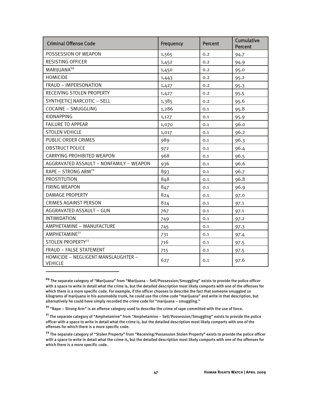| <b>Criminal Offense Code</b>                          | Frequency | <b>Percent</b> | <b>Cumulative</b><br>Percent |
|-------------------------------------------------------|-----------|----------------|------------------------------|
| POSSESSION OF WEAPON                                  | 1,565     | 0.2            | 94.7                         |
| <b>RESISTING OFFICER</b>                              | 1,452     | 0.2            | 94.9                         |
| MARIJUANA <sup>69</sup>                               | 1,450     | 0.2            | 95.0                         |
| <b>HOMICIDE</b>                                       | 1,443     | 0.2            | 95.2                         |
| FRAUD - IMPERSONATION                                 | 1,427     | 0.2            | 95.3                         |
| RECEIVING STOLEN PROPERTY                             | 1,427     | 0.2            | 95.5                         |
| SYNTH[ETIC] NARCOTIC - SELL                           | 1,385     | 0.2            | 95.6                         |
| COCAINE - SMUGGLING                                   | 1,286     | 0.1            | 95.8                         |
| <b>KIDNAPPING</b>                                     | 1,127     | 0.1            | 95.9                         |
| <b>FAILURE TO APPEAR</b>                              | 1,070     | 0.1            | 96.0                         |
| <b>STOLEN VEHICLE</b>                                 | 1,017     | 0.1            | 96.2                         |
| PUBLIC ORDER CRIMES                                   | 989       | 0.1            | 96.3                         |
| <b>OBSTRUCT POLICE</b>                                | 972       | 0.1            | 96.4                         |
| <b>CARRYING PROHIBITED WEAPON</b>                     | 968       | 0.1            | 96.5                         |
| AGGRAVATED ASSAULT - NONFAMILY - WEAPON               | 936       | 0.1            | 96.6                         |
| RAPE - STRONG ARM <sup>70</sup>                       | 893       | 0.1            | 96.7                         |
| <b>PROSTITUTION</b>                                   | 848       | 0.1            | 96.8                         |
| <b>FIRING WEAPON</b>                                  | 847       | 0.1            | 96.9                         |
| <b>DAMAGE PROPERTY</b>                                | 824       | 0.1            | 97.0                         |
| <b>CRIMES AGAINST PERSON</b>                          | 824       | 0.1            | 97.1                         |
| AGGRAVATED ASSAULT - GUN                              | 767       | 0.1            | 97.1                         |
| <b>INTIMIDATION</b>                                   | 749       | 0.1            | 97.2                         |
| AMPHETAMINE - MANUFACTURE                             | 745       | 0.1            | 97.3                         |
| AMPHETAMINE <sup>71</sup>                             | 731       | 0.1            | 97.4                         |
| STOLEN PROPERTY <sup>72</sup>                         | 716       | 0.1            | 97.5                         |
| <b>FRAUD - FALSE STATEMENT</b>                        | 715       | 0.1            | 97.5                         |
| HOMICIDE - NEGLIGENT MANSLAUGHTER -<br><b>VEHICLE</b> | 627       | 0.1            | 97.6                         |

**<sup>69</sup>** The separate category of "Marijuana" from "Marijuana – Sell/Possession/Smuggling" exists to provide the police officer with a space to write in detail what the crime is, but the detailed description most likely comports with one of the offenses for which there is a more specific code. For example, if the officer chooses to describe the fact that someone smuggled 10 kilograms of marijuana in his automobile trunk, he could use the crime code "marijuana" and write in that description, but alternatively he could have simply recorded the crime code for "marijuana – smuggling."

**<sup>70</sup>** "Rape – Strong Arm" is an offense category used to describe the crime of rape committed with the use of force.

**<sup>71</sup>** The separate category of "Amphetamine" from "Amphetamine – Sell/Possession/Smuggling" exists to provide the police officer with a space to write in detail what the crime is, but the detailed description most likely comports with one of the offenses for which there is a more specific code.

**<sup>72</sup>** The separate category of "Stolen Property" from "Receiving/Possession Stolen Property" exists to provide the police officer with a space to write in detail what the crime is, but the detailed description most likely comports with one of the offenses for which there is a more specific code.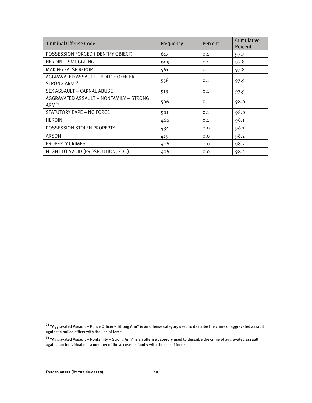| <b>Criminal Offense Code</b>                                      | Frequency | <b>Percent</b> | <b>Cumulative</b><br><b>Percent</b> |
|-------------------------------------------------------------------|-----------|----------------|-------------------------------------|
| POSSESSION FORGED (IDENTIFY OBJECT)                               | 617       | 0.1            | 97.7                                |
| <b>HEROIN - SMUGGLING</b>                                         | 609       | 0.1            | 97.8                                |
| <b>MAKING FALSE REPORT</b>                                        | 561       | 0.1            | 97.8                                |
| AGGRAVATED ASSAULT - POLICE OFFICER -<br>STRONG ARM <sup>73</sup> | 558       | 0.1            | 97.9                                |
| SEX ASSAULT - CARNAL ABUSE                                        | 513       | 0.1            | 97.9                                |
| AGGRAVATED ASSAULT - NONFAMILY - STRONG<br>$ARM^{74}$             | 506       | 0.1            | 98.0                                |
| STATUTORY RAPE - NO FORCE                                         | 501       | 0.1            | 98.0                                |
| <b>HEROIN</b>                                                     | 466       | 0.1            | 98.1                                |
| POSSESSION STOLEN PROPERTY                                        | 434       | 0.0            | 98.1                                |
| <b>ARSON</b>                                                      | 419       | 0.0            | 98.2                                |
| PROPERTY CRIMES                                                   | 406       | 0.0            | 98.2                                |
| FLIGHT TO AVOID (PROSECUTION, ETC.)                               | 406       | 0.0            | 98.3                                |

**<sup>73</sup>** "Aggravated Assault – Police Officer – Strong Arm" is an offense category used to describe the crime of aggravated assault against a police officer with the use of force.

**<sup>74</sup>** "Aggravated Assault – Nonfamily – Strong Arm" is an offense category used to describe the crime of aggravated assault against an individual not a member of the accused's family with the use of force.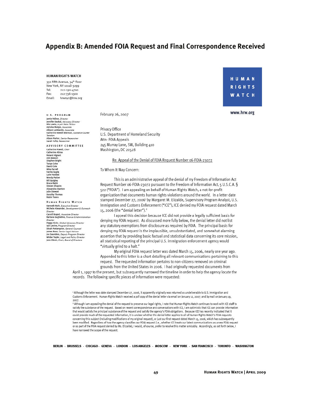## **Appendix B: Amended FOIA Request and Final Correspondence Received**

#### **HUMAN RIGHTS WATCH**

350 Fifth Avenue, 34th Floor New York, NY 10118-3299 Tel: 212-290-4700 Fax: 212-736-1300 Email: hrwnyc@hrw.org

U.S. PROGRAM Jamie Fellner, Director Janne Feurer, *Director*<br>Jennifer Daskal, *Advocacy Director*<br>Mie Lewis, *Aryeh Neier Fellow*<br>Ashoka Mukpo, *Associate* Allison Lombardo, Associate Katherine Newell Bierman, Counselon Counter Alison Parker, Senior Researcher 

ADVISORY COMMITTEE Catherine Powell, *Chair*<br>Catherine Albisa Roland Algrant Ann Beesi Stephen Bright Tanya Coke<br>David Cole Mike Farrell Mike Farrell<br>Lulie Haddad<br>Lulie Haddad<br>Wendy Patten<br>Bill Quigley<br>Bruce Rabb<br>Steven Shapiro<br>Shapandra Shari Alexandra Stanton Julie Stewart Dorothy Thomas<br>Robin Toone

HUMAN RIGHTS WATCH Kenneth Roth, *Executive Director*<br>Michele Alexander, *Development & Outreach* Directo Carroll Bogert, Associate Director Barbara Guglielmo, Finance & Administration Director Director<br>Peggy Hicks, Global Advocacy Director<br>Iain Levine, Program Director<br>Dinah PoKempner, General Counsel<br>James Ross, Senior Legal Advisor<br>Joe Saunders, *Deputy Program Director* Wilder Tayler, Legal and Policy Director lane Olson, Chair, Board of Directors

February 26, 2007

Privacy Office U.S. Department of Homeland Security Attn: FOIA Appeals 245 Murray Lane, SW, Building 410 Washington, DC 20528

#### Re: Appeal of the Denial of FOIA Request Number 06-FOIA-23072

To Whom It May Concern:

This is an administrative appeal of the denial of my Freedom of Information Act Request Number 06-FOIA-23072 pursuant to the Freedom of Information Act, 5 U.S.C.A. § 522 ("FOIA"). I am appealing on behalf of Human Rights Watch, a not-for-profit organization that documents human rights violations around the world. In a letter date stamped December 27, 2006<sup>1</sup> by Margaret M. Elizalde, Supervisory Program Analyst, U.S. Immigration and Customs Enforcement ("ICE"), ICE denied my FOIA request dated March 15, 2006 (the "denial letter").<sup>2</sup>

I appeal this decision because ICE did not provide a legally sufficient basis for denying my FOIA request. As discussed more fully below, the denial letter did not list any statutory exemptions from disclosure as required by FOIA. The principal basis for denying my FOIA request is the implausible, unsubstantiated, and somewhat alarming assertion that by providing basic factual and statistical data concerning its core mission, all statistical reporting of the principal U.S. immigration enforcement agency would "virtually grind to a halt."

My original FOIA request letter was dated March 15, 2006, nearly one year ago. Appended to this letter is a chart detailing all relevant communications pertaining to this request. The requested information pertains to non-citizens removed on criminal grounds from the United States in 2006. I had originally requested documents from April 1, 1997 to the present, but subsequently narrowed the timeline in order to help the agency locate the records. The following specific pieces of information were requested:

\* Although the letter was date stamped December 27, 2006, it apparently originally was returned as undeliverable to U.S. Immigration and Customs Enforcement. Human Rights Watch received a pdf copy of the denial letter via email on January 12, 2007, and by mail on January 19, 2007

<sup>2</sup> Although I am appealing the denial of the request to preserve our legal rights, I note that Human Rights Watch continues to work with ICE staff to satisfy the substance of the request. Based on recent correspondence and conversations with ICE, I am optimistic that ICE can provide information that would satisfy the principal substance of the request and satisfy the agency's FOIA obligations. Because ICE has recently indicated that it could provide much of the requested information, it is unclear whether the denial letter applies to all of Human Rights Watch's FOIA requests concerning this subject (including modifications of my original request), or just our first request dated March 15, 2006, which has subsequently been modified. Regardless of how the agency classifies our FOIA request (i.e., whether ICE treats our latest communications as a new FOIA request or as part of the FOIA request denied by Ms. Elizalde), I would, of course, prefer to resolve this matter amicably. Accordingly, as set forth below, I have narrowed the scope of the request.

BERLIN - BRUSSELS - CHICAGO - GENEVA - LONDON - LOS ANGELES - MOSCOW - NEW YORK - SAN FRANCISCO - TORONTO - WASHINGTON

## **HUMAN RIGHTS WATCH**

www.hrw.org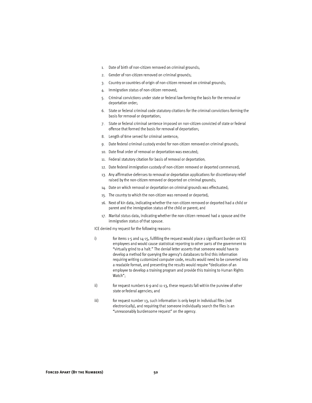- 1. Date of birth of non-citizen removed on criminal grounds;
- 2. Gender of non-citizen removed on criminal grounds;
- Country or countries of origin of non-citizen removed on criminal grounds;  $\mathcal{R}$
- Immigration status of non-citizen removed; 4.
- Criminal convictions under state or federal law forming the basis for the removal or 5. deportation order;
- 6. State or federal criminal code statutory citations for the criminal convictions forming the basis for removal or deportation:
- State or federal criminal sentence imposed on non-citizen convicted of state or federal 7. offense that formed the basis for removal of deportation;
- 8. Length of time served for criminal sentence;
- 9. Date federal criminal custody ended for non-citizen removed on criminal grounds;
- 10. Date final order of removal or deportation was executed;
- 11. Federal statutory citation for basis of removal or deportation;
- 12. Date federal immigration custody of non-citizen removed or deported commenced;
- 13. Any affirmative defenses to removal or deportation applications for discretionary relief raised by the non-citizen removed or deported on criminal grounds;
- 14. Date on which removal or deportation on criminal grounds was effectuated;
- 15. The country to which the non-citizen was removed or deported;
- 16. Next of kin data, indicating whether the non-citizen removed or deported had a child or parent and the immigration status of the child or parent; and
- 17. Marital status data, indicating whether the non-citizen removed had a spouse and the immigration status of that spouse.

ICE denied my request for the following reasons:

- i) for items 1-5 and 14-15, fulfilling the request would place a significant burden on ICE employees and would cause statistical reporting to other parts of the government to "virtually grind to a halt." The denial letter asserts that someone would have to develop a method for querying the agency's databases to find this information requiring writing customized computer code, results would need to be converted into a readable format, and presenting the results would require "dedication of an employee to develop a training program and provide this training to Human Rights Watch";
- ii) for request numbers 6-9 and 11-13, these requests fall within the purview of other state or federal agencies; and
- iii) for request number 13, such information is only kept in individual files (not electronically), and requiring that someone individually search the files is an "unreasonably burdensome request" on the agency.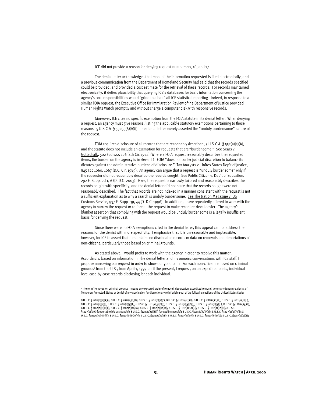ICE did not provide a reason for denying request numbers 10, 16, and 17.

The denial letter acknowledges that most of the information requested is filed electronically, and a previous communication from the Department of Homeland Security had said that the records specified could be provided, and provided a cost estimate for the retrieval of these records. For records maintained electronically, it defies plausibility that querying ICE's databases for basic information concerning the agency's core responsibilities would "grind to a halt" all ICE statistical reporting. Indeed, in response to a similar FOIA request, the Executive Office for Immigration Review of the Department of Justice provided Human Rights Watch promptly and without charge a computer disk with responsive records.

Moreover, ICE cites no specific exemption from the FOIA statute in its denial letter. When denying a request, an agency must give reasons, listing the applicable statutory exemptions pertaining to those reasons. 5 U.S.C.A. § 552(a)(6)(A)(i). The denial letter merely asserted the "unduly burdensome" nature of the request.

FOIA requires disclosure of all records that are reasonably described, 5 U.S.C.A. § 552(a)(3)(A), and the statute does not include an exemption for requests that are "burdensome." See Sears v. Gottschalk, 502 F2d 122, 126 (4th Cir. 1974) (Where a FOIA request reasonably describes the requested items, the burden on the agency is irrelevant.). FOIA "does not confer judicial discretion to balance its dictates against the administrative burdens of disclosure." Tax Analysts v. Unites States Dep't of Justice, 845 F2d 1060, 1067 (D.C. Cir. 1989). An agency can argue that a request is "unduly burdensome" only if the requestor did not reasonably describe the records sought. See Public Citizen v. Dep't of Education, 292 F. Supp. 2d 1, 6 (D. D.C. 2003). Here, the request is narrowly tailored and reasonably describes the records sought with specificity, and the denial letter did not state that the records sought were not reasonably described. The fact that records are not indexed in a manner consistent with the request is not a sufficient explanation as to why a search is unduly burdensome. See The Nation Magazine v. US Customs Service, 937 F. Supp. 39, 44 (D. D.C. 1996). In addition, I have repeatedly offered to work with the agency to narrow the request or re-format the request to make record retrieval easier. The agency's blanket assertion that complying with the request would be unduly burdensome is a legally insufficient basis for denying the request.

Since there were no FOIA exemptions cited in the denial letter, this appeal cannot address the reasons for the denial with more specificity. I emphasize that it is unreasonable and implausible, however, for ICE to assert that it maintains no disclosable records or data on removals and deportations of non-citizens, particularly those based on criminal grounds.

As stated above, I would prefer to work with the agency in order to resolve this matter. Accordingly, based on information in the denial letter and my ongoing conversations with ICE staff, I propose narrowing our request in order to show our good faith. For each non-citizen removed on criminal grounds<sup>3</sup> from the U.S., from April 1, 1997 until the present, I request, on an expedited basis, individual level case-by-case records disclosing for each individual:

<sup>3</sup> The term "removed on criminal grounds" means any executed order of removal, deportation, expedited removal, voluntary departure, denial of Temporary Protected Status or denial of any application for discretionary relief arising out of the following sections of the United States Code:

8 U.S.C. § 1182(a)(2)(A)(i); 8 U.S.C. § 1182(a)(2)(B); 8 U.S.C. § 1182(a)(2)(c); 8 U.S.C. § 1182(a)(2)(D); 8 U.S.C. § 1182(a)(2)(E); 8 U.S.C. § 1182(a)(2)(H); 8 U.S.C. § 1182(a)(2)(l); 8 U.S.C. § 1182(a)(3)(A); 8 U.S.C. § 1182(a)(3)(B)(f); 8 U.S.C. § 1182(a)(3)(D)(f); 8 U.S.C. § 1182(a)(3)(E); 8 U.S.C. § 1182(a)(3)(F); 8 U.S.C. § 1182(a)(6)(E)(i); 8 U.S.C. § 1182(a)(10)(A); 8 U.S.C. § 1182(a)(10)(c); 8 U.S.C. § 1182(a)(10)(0); 8 U.S.C. § 1182(a)(10)(E); 8 U.S.C. §1227(a)(1)(A) [deportable b/c excludable]; 8 U.S.C. §1227(a)(1)(E)(i) [smuggling people]; 8 U.S.C. §1227(a)(2)(A)(i); 8 U.S.C. §1227(a)(2)(A)(ii); 8 U.S.C. §1227(a)(2)(A)(ii); 8 U.S.C. §1227(a)(2)(A)(iv); 8 U.S.C. §1227(a)(2)(B); 8 U.S.C. §1227(a)(2)(c); 8 U.S.C. §1227(a)(2)(0); 8 U.S.C. §1227(a)(2)(E);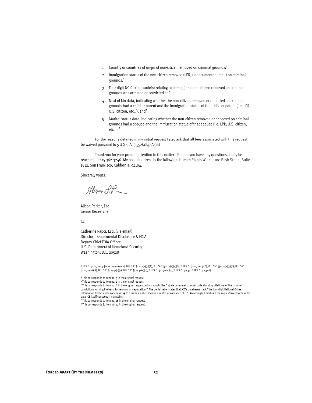- 1. Country or countries of origin of non-citizen removed on criminal grounds;<sup>4</sup>
- 2. Immigration status of the non-citizen removed (LPR, undocumented, etc...) on criminal grounds;<sup>5</sup>
- 3. Four digit NCIC crime code(s) relating to crime(s) the non-citizen removed on criminal grounds was arrested or convicted of;<sup>6</sup>
- 4. Next of kin data, indicating whether the non-citizen removed or deported on criminal grounds had a child or parent and the immigration status of that child or parent (i.e. LPR, U.S. citizen, etc...); and<sup>7</sup>
- 5. Marital status data, indicating whether the non-citizen removed or deported on criminal grounds had a spouse and the immigration status of that spouse (i.e. LPR, U.S. citizen,  $etc...$ ). $8$

For the reasons detailed in my initial request I also ask that all fees associated with this request be waived pursuant to 5 U.S.C.A.  $\S$  552(a)(4)(A)(iii).

Thank you for your prompt attention to this matter. Should you have any questions, I may be reached at: 415-362-3246. My postal address is the following: Human Rights Watch, 100 Bush Street, Suite 1812, San Francisco, California, 94104.

Sincerely yours.

Higon LP

Alison Parker, Esq. Senior Researcher

Cc:

Catherine Papoi, Esq. (via email) Director, Departmental Disclosure & FOIA Deputy Chief FOIA Officer U.S. Department of Homeland Security Washington, D.C. 20528

8 U.S.C. §1227(a)(3) [false documents]; 8 U.S.C. §1227(a)(4)(A); 8 U.S.C. §1227(a)(4)(B); 8 U.S.C. §1227(a)(4)(D); 8 U.S.C. §1227(a)(4)(E); 8 U.S.C. §1227(a)(6)(A); 8 U.S.C. §1254a(c)(1); 8 U.S.C. §1254a(c)(2); 8 U.S.C. §1254a(c)(3); 8 U.S.C. §1533; 8 U.S.C. §1534(i).

<sup>&</sup>lt;sup>4</sup> This corresponds to item no. 3 in the original request. <sup>5</sup> This corresponds to item no. 4 in the original request.

<sup>&</sup>lt;sup>6</sup> This corresponds to item no. 6 in the original request, which sought the "[s]tate or federal criminal code statutory citations for the criminal convictions forming the basis for removal or deportation." The denial letter states that ICE's databases track "the four-digit National Crime" Information Center crime code relating to a crime an alien may be arrested or convicted of...." Accordingly, I modified the request to conform to the data ICE itself concedes it maintains.

<sup>7</sup> This corresponds to item no. 16 in the original request.

 $8$  This corresponds to item no. 17 in the original request.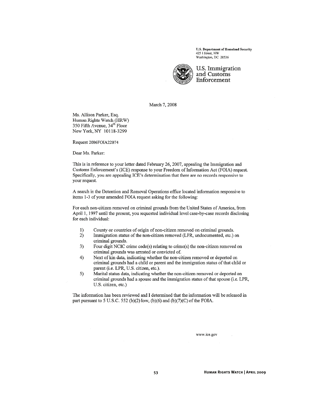U.S. Department of Homeland Security 425 I Street, NW Washington, DC 20536



U.S. Immigration and Customs Enforcement

March 7, 2008

Ms. Allison Parker, Esq. Human Rights Watch (HRW) 350 Fifth Avenue, 34<sup>th</sup> Floor New York, NY 10118-3299

Request 2006FOIA22074

Dear Ms. Parker:

This is in reference to your letter dated February 26, 2007, appealing the Immigration and Customs Enforcement's (ICE) response to your Freedom of Information Act (FOIA) request. Specifically, you are appealing ICE's determination that there are no records responsive to your request.

A search in the Detention and Removal Operations office located information responsive to items 1-3 of your amended FOIA request asking for the following:

For each non-citizen removed on criminal grounds from the United States of America, from April 1, 1997 until the present, you requested individual level case-by-case records disclosing for each individual:

- $1)$ County or countries of origin of non-citizen removed on criminal grounds.
- $2)$ Immigration status of the non-citizen removed (LPR, undocumented, etc.) on criminal grounds.
- $3)$ Four digit NCIC crime code(s) relating to crime(s) the non-citizen removed on criminal grounds was arrested or convicted of.
- $4)$ Next of kin data, indicating whether the non-citizen removed or deported on criminal grounds had a child or parent and the immigration status of that child or parent (i.e. LPR, U.S. citizen, etc.).
- 5) Marital status data, indicating whether the non-citizen removed or deported on criminal grounds had a spouse and the immigration status of that spouse (i.e. LPR, U.S. citizen, etc.)

The information has been reviewed and I determined that the information will be released in part pursuant to 5 U.S.C. 552 (b)(2) low, (b)(6) and (b)(7)(C) of the FOIA.

www.ice.gov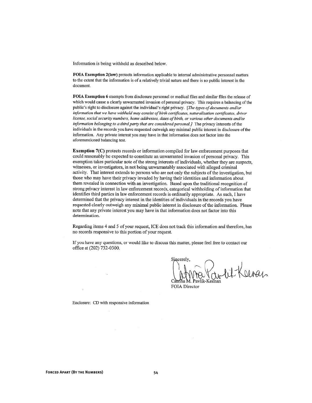Information is being withheld as described below.

FOIA Exemption 2(low) protects information applicable to internal administrative personnel matters to the extent that the information is of a relatively trivial nature and there is no public interest in the document.

FOIA Exemption 6 exempts from disclosure personnel or medical files and similar files the release of which would cause a clearly unwarranted invasion of personal privacy. This requires a balancing of the public's right to disclosure against the individual's right privacy. [The types of documents and/or information that we have withheld may consist of birth certificates, naturalization certificates, driver license, social security numbers, home addresses, dates of birth, or various other documents and/or information belonging to a third party that are considered personal.] The privacy interests of the individuals in the records you have requested outweigh any minimal public interest in disclosure of the information. Any private interest you may have in that information does not factor into the aforementioned balancing test.

**Exemption 7(C)** protects records or information compiled for law enforcement purposes that could reasonably be expected to constitute an unwarranted invasion of personal privacy. This exemption takes particular note of the strong interests of individuals, whether they are suspects, witnesses, or investigators, in not being unwarrantably associated with alleged criminal activity. That interest extends to persons who are not only the subjects of the investigation, but those who may have their privacy invaded by having their identities and information about them revealed in connection with an investigation. Based upon the traditional recognition of strong privacy interest in law enforcement records, categorical withholding of information that identifies third parties in law enforcement records is ordinarily appropriate. As such, I have determined that the privacy interest in the identities of individuals in the records you have requested clearly outweigh any minimal public interest in disclosure of the information. Please note that any private interest you may have in that information does not factor into this determination.

Regarding items 4 and 5 of your request, ICE does not track this information and therefore, has no records responsive to this portion of your request.

If you have any questions, or would like to discuss this matter, please feel free to contact our office at (202) 732-0300.

Sincerely. hit Keeras Pavlik-Keenar

FOIA Director

Enclosure: CD with responsive information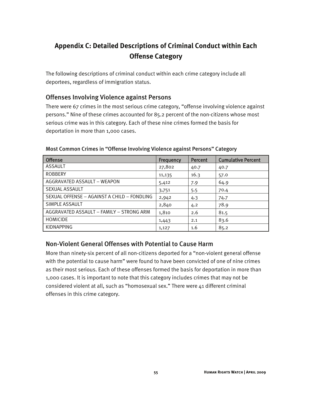## **Appendix C: Detailed Descriptions of Criminal Conduct within Each Offense Category**

The following descriptions of criminal conduct within each crime category include all deportees, regardless of immigration status.

## Offenses Involving Violence against Persons

There were 67 crimes in the most serious crime category, "offense involving violence against persons." Nine of these crimes accounted for 85.2 percent of the non-citizens whose most serious crime was in this category. Each of these nine crimes formed the basis for deportation in more than 1,000 cases.

| <b>Offense</b>                              | Frequency | Percent | <b>Cumulative Percent</b> |
|---------------------------------------------|-----------|---------|---------------------------|
| ASSAULT                                     | 27,802    | 40.7    | 40.7                      |
| <b>ROBBERY</b>                              | 11,135    | 16.3    | 57.0                      |
| AGGRAVATED ASSAULT - WEAPON                 | 5,412     | 7.9     | 64.9                      |
| <b>SEXUAL ASSAULT</b>                       | 3,751     | 5.5     | 70.4                      |
| SEXUAL OFFENSE - AGAINST A CHILD - FONDLING | 2,942     | 4.3     | 74.7                      |
| SIMPLE ASSAULT                              | 2,840     | 4.2     | 78.9                      |
| AGGRAVATED ASSAULT - FAMILY - STRONG ARM    | 1,810     | 2.6     | 81.5                      |
| <b>HOMICIDE</b>                             | 1,443     | 2.1     | 83.6                      |
| <b>KIDNAPPING</b>                           | 1,127     | 1.6     | 85.2                      |

#### Most Common Crimes in "Offense Involving Violence against Persons" Category

## Non-Violent General Offenses with Potential to Cause Harm

More than ninety-six percent of all non-citizens deported for a "non-violent general offense with the potential to cause harm" were found to have been convicted of one of nine crimes as their most serious. Each of these offenses formed the basis for deportation in more than 1,000 cases. It is important to note that this category includes crimes that may not be considered violent at all, such as "homosexual sex." There were 41 different criminal offenses in this crime category.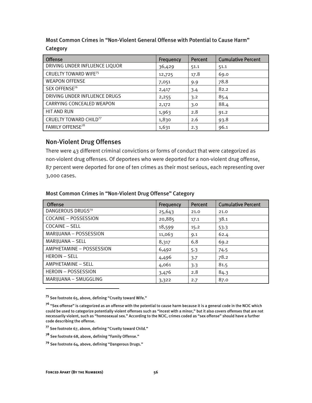Most Common Crimes in "Non-Violent General Offense with Potential to Cause Harm" Category

| <b>Offense</b>                          | Frequency | Percent | <b>Cumulative Percent</b> |
|-----------------------------------------|-----------|---------|---------------------------|
| DRIVING UNDER INFLUENCE LIQUOR          | 36,429    | 51.1    | 51.1                      |
| <b>CRUELTY TOWARD WIFE<sup>75</sup></b> | 12,725    | 17.8    | 69.0                      |
| <b>WEAPON OFFENSE</b>                   | 7,051     | 9.9     | 78.8                      |
| SEX OFFENSE <sup>76</sup>               | 2,417     | 3.4     | 82.2                      |
| DRIVING UNDER INFLUENCE DRUGS           | 2,255     | 3.2     | 85.4                      |
| CARRYING CONCEALED WEAPON               | 2,172     | 3.0     | 88.4                      |
| <b>HIT AND RUN</b>                      | 1,963     | 2.8     | 91.2                      |
| CRUELTY TOWARD CHILD77                  | 1,830     | 2.6     | 93.8                      |
| FAMILY OFFENSE <sup>78</sup>            | 1,631     | 2.3     | 96.1                      |

### Non-Violent Drug Offenses

There were 43 different criminal convictions or forms of conduct that were categorized as non-violent drug offenses. Of deportees who were deported for a non-violent drug offense, 87 percent were deported for one of ten crimes as their most serious, each representing over 3,000 cases.

#### Most Common Crimes in "Non-Violent Drug Offense" Category

| <b>Offense</b>                | Frequency | <b>Percent</b> | <b>Cumulative Percent</b> |
|-------------------------------|-----------|----------------|---------------------------|
| DANGEROUS DRUGS <sup>79</sup> | 25,643    | 21.0           | 21.0                      |
| COCAINE - POSSESSION          | 20,885    | 17.1           | 38.1                      |
| COCAINE - SELL                | 18,599    | 15.2           | 53.3                      |
| MARIJUANA - POSSESSION        | 11,063    | 9.1            | 62.4                      |
| MARIJUANA - SELL              | 8,317     | 6.8            | 69.2                      |
| AMPHETAMINE - POSSESSION      | 6,492     | 5.3            | 74.5                      |
| <b>HEROIN - SELL</b>          | 4,496     | 3.7            | 78.2                      |
| AMPHETAMINE - SELL            | 4,061     | 3.3            | 81.5                      |
| HEROIN - POSSESSION           | 3,476     | 2.8            | 84.3                      |
| MARIJUANA - SMUGGLING         | 3,322     | 2.7            | 87.0                      |

**<sup>75</sup>** See footnote 65, above, defining "Cruelty toward Wife."

**<sup>76</sup>** "Sex offense" is categorized as an offense with the potential to cause harm because it is a general code in the NCIC which could be used to categorize potentially violent offenses such as "incest with a minor," but it also covers offenses that are not necessarily violent, such as "homosexual sex." According to the NCIC, crimes coded as "sex offense" should have a further code describing the offense.

**<sup>77</sup>** See footnote 67, above, defining "Cruelty toward Child."

**<sup>78</sup>** See footnote 68, above, defining "Family Offense."

**<sup>79</sup>** See footnote 64, above, defining "Dangerous Drugs."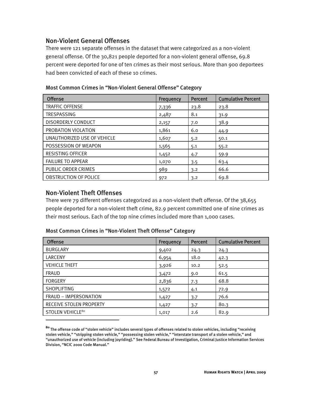## Non-Violent General Offenses

There were 121 separate offenses in the dataset that were categorized as a non-violent general offense. Of the 30,821 people deported for a non-violent general offense, 69.8 percent were deported for one of ten crimes as their most serious. More than 900 deportees had been convicted of each of these 10 crimes.

| <b>Offense</b>               | <b>Frequency</b> | <b>Percent</b> | <b>Cumulative Percent</b> |
|------------------------------|------------------|----------------|---------------------------|
| <b>TRAFFIC OFFENSE</b>       | 7,336            | 23.8           | 23.8                      |
| TRESPASSING                  | 2,487            | 8.1            | 31.9                      |
| <b>DISORDERLY CONDUCT</b>    | 2,157            | 7.0            | 38.9                      |
| PROBATION VIOLATION          | 1,861            | 6.0            | 44.9                      |
| UNAUTHORIZED USE OF VEHICLE  | 1,607            | 5.2            | 50.1                      |
| POSSESSION OF WEAPON         | 1,565            | 5.1            | 55.2                      |
| <b>RESISTING OFFICER</b>     | 1,452            | 4.7            | 59.9                      |
| <b>FAILURE TO APPEAR</b>     | 1,070            | 3.5            | 63.4                      |
| PUBLIC ORDER CRIMES          | 989              | 3.2            | 66.6                      |
| <b>OBSTRUCTION OF POLICE</b> | 972              | 3.2            | 69.8                      |

Most Common Crimes in "Non-Violent General Offense" Category

### Non-Violent Theft Offenses

I

There were 79 different offenses categorized as a non-violent theft offense. Of the 38,655 people deported for a non-violent theft crime, 82.9 percent committed one of nine crimes as their most serious. Each of the top nine crimes included more than 1,000 cases.

| <b>Offense</b>               | Frequency | Percent | <b>Cumulative Percent</b> |
|------------------------------|-----------|---------|---------------------------|
| <b>BURGLARY</b>              | 9,402     | 24.3    | 24.3                      |
| LARCENY                      | 6,954     | 18.0    | 42.3                      |
| <b>VEHICLE THEFT</b>         | 3,926     | 10.2    | 52.5                      |
| <b>FRAUD</b>                 | 3,472     | 9.0     | 61.5                      |
| <b>FORGERY</b>               | 2,836     | 7.3     | 68.8                      |
| <b>SHOPLIFTING</b>           | 1,572     | 4.1     | 72.9                      |
| FRAUD - IMPERSONATION        | 1,427     | 3.7     | 76.6                      |
| RECEIVE STOLEN PROPERTY      | 1,427     | 3.7     | 80.3                      |
| STOLEN VEHICLE <sup>80</sup> | 1,017     | 2.6     | 82.9                      |

Most Common Crimes in "Non-Violent Theft Offense" Category

**<sup>80</sup>** The offense code of "stolen vehicle" includes several types of offenses related to stolen vehicles, including "receiving stolen vehicle," "stripping stolen vehicle," "possessing stolen vehicle," "interstate transport of a stolen vehicle," and "unauthorized use of vehicle (including joyriding)." See Federal Bureau of Investigation, Criminal Justice Information Services Division, "NCIC 2000 Code Manual."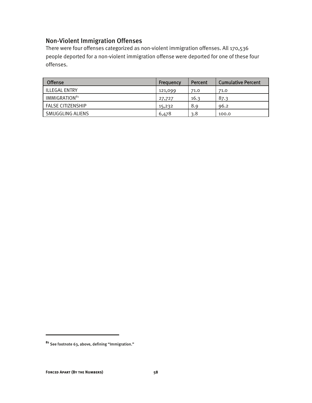## Non-Violent Immigration Offenses

There were four offenses categorized as non-violent immigration offenses. All 170,536 people deported for a non-violent immigration offense were deported for one of these four offenses.

| <b>Offense</b>            | Frequency | Percent | <b>Cumulative Percent</b> |
|---------------------------|-----------|---------|---------------------------|
| ILLEGAL ENTRY             | 121,099   | 71.0    | 71.0                      |
| IMMIGRATION <sup>81</sup> | 27,727    | 16.3    | 87.3                      |
| <b>FALSE CITIZENSHIP</b>  | 15,232    | 8.9     | 96.2                      |
| SMUGGLING ALIENS          | 6,478     | 3.8     | 100.0                     |

**<sup>81</sup>** See footnote 63, above, defining "Immigration."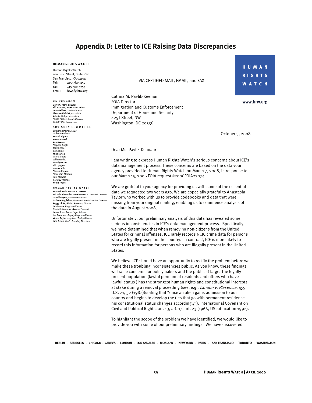## **Appendix D: Letter to ICE Raising Data Discrepancies**

#### **HUMAN RIGHTS WATCH**

Human Rights Watch 100 Bush Street, Suite 1812 San Francisco, CA 94104 Tel: 415-362-3250 Fax: 415-362-3255 Email: hrwsf@hrw.org

US PRUGRAM David C. Fathi, *Director*<br>Alice Farmer, *Aryeh Neier Fellow*<br>Jamie Fellner, *Senior Counsel* Thomas Gilchrist, Associate Ashoka Mukpo, Associati Alison Parker, Deputy Director Sarah Tofte, Researche

#### ADVISORY COMMITTEE

Catherine Powell, Chair<br>Catherine Albisa Roland Algrant Rotanu Aigram<br>Preeta Bansal<br>Ann Beeson<br>Stephen Bright<br>Tanya Coke David Cole David Cole<br>Mike Farrell<br>Vanita Gupta<br>Lulie Haddad<br>Wendy Patter<br>Bill Quigley<br>Bruce Babb **Bruce Rabb** Steven Shapiro Alexandra Stanton<br>Julie Stewart Dorothy Thomas<br>Robin Toone

**HUMAN RIGHTS WATCH** Kenneth Roth, Executive Director Michele Alexander, Development & Outreach Director Michele Alexander, Development & Datreach Director<br>Carroll Bogert, Associate Director<br>Barbara Guglielmo, Finance & Administration Director Peggy Hicks, Global Advocacy Director Festy International Director<br>
Iain Levine, *Program Director*<br>
Dinah PoKempner, *General Counsel*<br>
James Ross, *Senior Legal Advisor*<br>
Joe Saunders, *Deputy Program Director* Wilder Tayler, Legal and Policy Director<br>Jane Olson, Chair, Board of Directors

VIA CERTIFIED MAIL, EMAIL, and FAX

Catrina M. Pavlik-Keenan **FOIA Director** Immigration and Customs Enforcement Department of Homeland Security 425 | Street, NW Washington, DC 20536

**HUMAN RIGHTS WATCH** 

www.hrw.org

October 3, 2008

#### Dear Ms. Pavlik-Kennan:

I am writing to express Human Rights Watch's serious concerns about ICE's data management process. These concerns are based on the data your agency provided to Human Rights Watch on March 7, 2008, in response to our March 15, 2006 FOIA request #2006FOIA22074.

We are grateful to your agency for providing us with some of the essential data we requested two years ago. We are especially grateful to Anastasia Taylor who worked with us to provide codebooks and data that were missing from your original mailing, enabling us to commence analysis of the data in August 2008.

Unfortunately, our preliminary analysis of this data has revealed some serious inconsistencies in ICE's data management process. Specifically, we have determined that when removing non-citizens from the United States for criminal offenses, ICE rarely records NCIC crime data for persons who are legally present in the country. In contrast, ICE is more likely to record this information for persons who are illegally present in the United States.

We believe ICE should have an opportunity to rectify the problem before we make these troubling inconsistencies public. As you know, these findings will raise concerns for policymakers and the public at large. The legally present population (lawful permanent residents and others who have lawful status) has the strongest human rights and constitutional interests at stake during a removal proceeding (see, e.g., Landon v. Plasencia, 459 U.S. 21, 32 (1982) (stating that "once an alien gains admission to our country and begins to develop the ties that go with permanent residence his constitutional status changes accordingly"); International Covenant on Civil and Political Rights, art. 13, art. 17, art. 23 (1966, US ratification 1992).

To highlight the scope of the problem we have identified, we would like to provide you with some of our preliminary findings. We have discovered

BERLIN - BRUSSELS - CHICAGO - GENEVA - LONDON - LOS ANGELES - MOSCOW - NEWYORK - PARIS - SAN FRANCISCO - TORONTO - WASHINGTON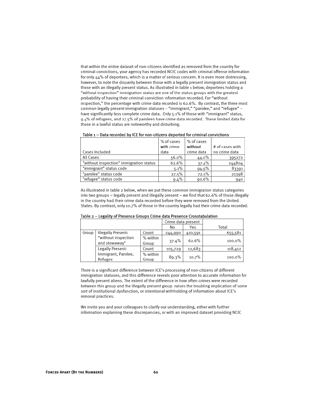that within the entire dataset of non-citizens identified as removed from the country for criminal convictions, your agency has recorded NCIC codes with criminal offense information for only  $44\%$  of deportees, which is a matter of serious concern. It is even more distressing, however, to note the disparity between those with a legally present immigration status and those with an illegally present status. As illustrated in table 1 below, deportees holding a "without inspection" immigration status are one of the status groups with the greatest probability of having their criminal conviction information recorded. For "without inspection," the percentage with crime data recorded is 62.6%. By contrast, the three most common legally present immigration statuses -- "immigrant," "parolee," and "refugee" -have significantly less complete crime data. Only 5.1% of those with "immigrant" status, 9.4% of refugees, and 27.5% of parolees have crime data recorded. These limited data for those in a lawful status are noteworthy and disturbing.

|                                         | % of cases<br>with crime | % of cases<br>without | # of cases with |
|-----------------------------------------|--------------------------|-----------------------|-----------------|
| Cases Included                          | data                     | crime data            | no crime data   |
| All Cases                               | 56.0%                    | 44.0%                 | 395272          |
| "without inspection" immigration status | 62.6%                    | 37.4%                 | 244804          |
| "immigrant" status code                 | 5.1%                     | 94.9%                 | 83391           |
| "parolee" status code                   | 27.5%                    | 72.5%                 | 21398           |
| "refugee" status code                   | 9.4%                     | 90.6%                 | 940             |

As illustrated in table 2 below, when we put these common immigration status categories into two groups - legally present and illegally present - we find that 62.6% of those illegally in the country had their crime data recorded before they were removed from the United States. By contrast, only 10.7% of those in the country legally had their crime data recorded.

|       |                                      |                   | Crime data present |         |         |
|-------|--------------------------------------|-------------------|--------------------|---------|---------|
|       |                                      |                   | No                 | Yes     | Total   |
| Group | Illegally Present:                   | Count             | 244,990            | 410,591 | 655,581 |
|       | "without inspection<br>and stowaway" | % within<br>Group | 37.4%              | 62.6%   | 100.0%  |
|       | Legally Present:                     | Count             | 105,729            | 12,683  | 118,412 |
|       | Immigrant, Parolee,<br>Refugee       | % within<br>Group | 89.3%              | 10.7%   | 100.0%  |

Table 2 -- Legality of Presence Groups Crime data Presence Crosstabulation

There is a significant difference between ICE's processing of non-citizens of different immigration statuses, and this difference reveals poor attention to accurate information for lawfully present aliens. The extent of the difference in how often crimes were recorded between this group and the illegally present group raises the troubling implication of some sort of institutional dysfunction, or intentional withholding of information about ICE's removal practices.

We invite you and your colleagues to clarify our understanding, either with further information explaining these discrepancies, or with an improved dataset providing NCIC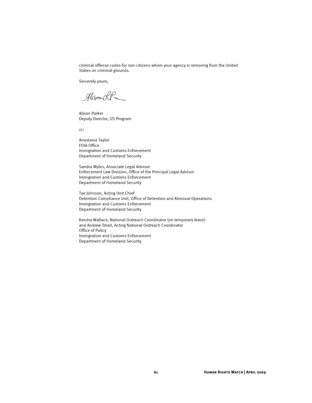criminal offense codes for non-citizens whom your agency is removing from the United States on criminal grounds.

Sincerely yours,

AlisonolP

Alison Parker Deputy Director, US Program

cc:

Anastasia Taylor FOIA Office Immigration and Customs Enforcement Department of Homeland Security

Sandra Myles, Associate Legal Advisor Enforcement Law Division, Office of the Principal Legal Advisor Immigration and Customs Enforcement Department of Homeland Security

Tae Johnson, Acting Unit Chief Detention Compliance Unit, Office of Detention and Removal Operations Immigration and Customs Enforcement Department of Homeland Security

Kendra Wallace, National Outreach Coordinator (on temporary leave) and Andrew Strait, Acting National Outreach Coordinator Office of Policy Immigration and Customs Enforcement Department of Homeland Security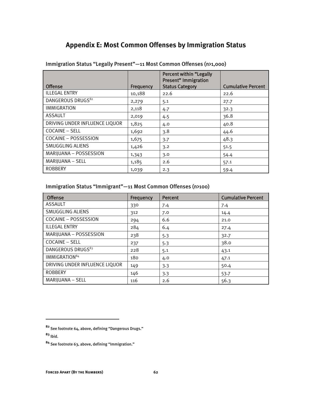## **Appendix E: Most Common Offenses by Immigration Status**

|                                |           | Percent within "Legally<br><b>Present" Immigration</b> |                           |
|--------------------------------|-----------|--------------------------------------------------------|---------------------------|
| <b>Offense</b>                 | Frequency | <b>Status Category</b>                                 | <b>Cumulative Percent</b> |
| <b>ILLEGAL ENTRY</b>           | 10,188    | 22.6                                                   | 22.6                      |
| DANGEROUS DRUGS <sup>82</sup>  | 2,279     | 5.1                                                    | 27.7                      |
| <b>IMMIGRATION</b>             | 2,118     | 4.7                                                    | 32.3                      |
| <b>ASSAULT</b>                 | 2,019     | 4.5                                                    | 36.8                      |
| DRIVING UNDER INFLUENCE LIQUOR | 1,825     | 4.0                                                    | 40.8                      |
| <b>COCAINE - SELL</b>          | 1,692     | 3.8                                                    | 44.6                      |
| <b>COCAINE - POSSESSION</b>    | 1,675     | 3.7                                                    | 48.3                      |
| SMUGGLING ALIENS               | 1,426     | 3.2                                                    | 51.5                      |
| MARIJUANA - POSSESSION         | 1,343     | 3.0                                                    | 54.4                      |
| MARIJUANA - SELL               | 1,185     | 2.6                                                    | 57.1                      |
| <b>ROBBERY</b>                 | 1,039     | 2.3                                                    | 59.4                      |

Immigration Status "Legally Present"—11 Most Common Offenses (n>1,000)

## Immigration Status "Immigrant"—11 Most Common Offenses (n>100)

| <b>Offense</b>                 | Frequency | <b>Percent</b> | <b>Cumulative Percent</b> |
|--------------------------------|-----------|----------------|---------------------------|
| <b>ASSAULT</b>                 | 330       | 7.4            | 7.4                       |
| SMUGGLING ALIENS               | 312       | 7.0            | 14.4                      |
| COCAINE - POSSESSION           | 294       | 6.6            | 21.0                      |
| <b>ILLEGAL ENTRY</b>           | 284       | 6.4            | 27.4                      |
| MARIJUANA - POSSESSION         | 238       | 5.3            | 32.7                      |
| <b>COCAINE - SELL</b>          | 237       | 5.3            | 38.0                      |
| DANGEROUS DRUGS <sup>83</sup>  | 228       | 5.1            | 43.1                      |
| IMMIGRATION <sup>84</sup>      | 180       | 4.0            | 47.1                      |
| DRIVING UNDER INFLUENCE LIQUOR | 149       | 3.3            | 50.4                      |
| <b>ROBBERY</b>                 | 146       | 3.3            | 53.7                      |
| MARIJUANA - SELL               | 116       | 2.6            | 56.3                      |

**<sup>83</sup>** Ibid.

**<sup>82</sup>** See footnote 64, above, defining "Dangerous Drugs."

**<sup>84</sup>** See footnote 63, above, defining "Immigration."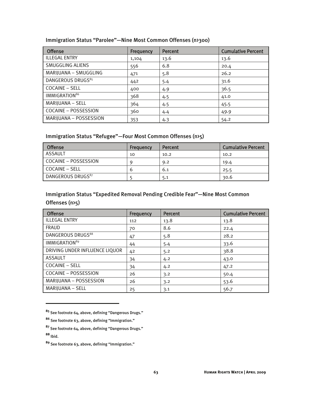| <b>Offense</b>                | Frequency | <b>Percent</b> | <b>Cumulative Percent</b> |
|-------------------------------|-----------|----------------|---------------------------|
| <b>ILLEGAL ENTRY</b>          | 1,104     | 13.6           | 13.6                      |
| <b>SMUGGLING ALIENS</b>       | 556       | 6.8            | 20.4                      |
| MARIJUANA - SMUGGLING         | 471       | 5.8            | 26.2                      |
| DANGEROUS DRUGS <sup>85</sup> | 442       | 5.4            | 31.6                      |
| <b>COCAINE - SELL</b>         | 400       | 4.9            | 36.5                      |
| IMMIGRATION <sup>86</sup>     | 368       | 4.5            | 41.0                      |
| MARIJUANA - SELL              | 364       | 4.5            | 45.5                      |
| COCAINE - POSSESSION          | 360       | 4.4            | 49.9                      |
| MARIJUANA - POSSESSION        | 353       | 4.3            | 54.2                      |

Immigration Status "Parolee"—Nine Most Common Offenses (n>300)

## Immigration Status "Refugee"—Four Most Common Offenses (n>5)

| <b>Offense</b>                | Frequency | Percent | <b>Cumulative Percent</b> |
|-------------------------------|-----------|---------|---------------------------|
| ASSAULT                       | 10        | 10.2    | 10.2                      |
| COCAINE – POSSESSION          |           | 9.2     | 19.4                      |
| COCAINE – SELL                | b         | 6.1     | 25.5                      |
| DANGEROUS DRUGS <sup>87</sup> |           | 5.1     | 30.6                      |

## Immigration Status "Expedited Removal Pending Credible Fear"—Nine Most Common Offenses (n>5)

| <b>Offense</b>                 | Frequency | <b>Percent</b> | <b>Cumulative Percent</b> |
|--------------------------------|-----------|----------------|---------------------------|
| <b>ILLEGAL ENTRY</b>           | 112       | 13.8           | 13.8                      |
| <b>FRAUD</b>                   | 70        | 8.6            | 22.4                      |
| DANGEROUS DRUGS88              | 47        | 5.8            | 28.2                      |
| IMMIGRATION <sup>89</sup>      | 44        | 5.4            | 33.6                      |
| DRIVING UNDER INFLUENCE LIQUOR | 42        | 5.2            | 38.8                      |
| ASSAULT                        | 34        | 4.2            | 43.0                      |
| <b>COCAINE - SELL</b>          | 34        | 4.2            | 47.2                      |
| <b>COCAINE - POSSESSION</b>    | 26        | 3.2            | 50.4                      |
| MARIJUANA - POSSESSION         | 26        | 3.2            | 53.6                      |
| MARIJUANA - SELL               | 25        | 3.1            | 56.7                      |

**<sup>85</sup>** See footnote 64, above, defining "Dangerous Drugs."

**<sup>86</sup>** See footnote 63, above, defining "Immigration."

**<sup>87</sup>** See footnote 64, above, defining "Dangerous Drugs." **<sup>88</sup>** Ibid.

**<sup>89</sup>** See footnote 63, above, defining "Immigration."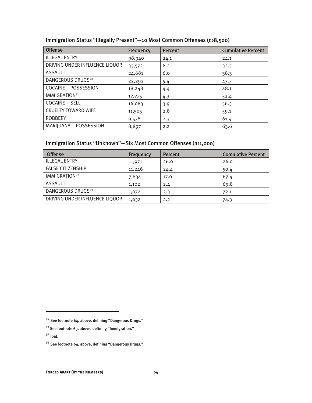| <b>Offense</b>                 | Frequency | Percent | <b>Cumulative Percent</b> |
|--------------------------------|-----------|---------|---------------------------|
| <b>ILLEGAL ENTRY</b>           | 98,940    | 24.1    | 24.1                      |
| DRIVING UNDER INFLUENCE LIQUOR | 33,572    | 8.2     | 32.3                      |
| <b>ASSAULT</b>                 | 24,681    | 6.0     | 38.3                      |
| DANGEROUS DRUGS <sup>90</sup>  | 22,292    | 5.4     | 43.7                      |
| <b>COCAINE - POSSESSION</b>    | 18,248    | 4.4     | 48.1                      |
| IMMIGRATION <sup>91</sup>      | 17,775    | 4.3     | 52.4                      |
| <b>COCAINE - SELL</b>          | 16,083    | 3.9     | 56.3                      |
| <b>CRUELTY TOWARD WIFE</b>     | 11,505    | 2.8     | 59.1                      |
| <b>ROBBERY</b>                 | 9,578     | 2.3     | 61.4                      |
| MARIJUANA - POSSESSION         | 8,897     | 2.2     | 63.6                      |

## Immigration Status "Illegally Present"—10 Most Common Offenses (n>8,500)

## Immigration Status "Unknown"—Six Most Common Offenses (n>1,000)

| <b>Offense</b>                 | Frequency | <b>Percent</b> | <b>Cumulative Percent</b> |
|--------------------------------|-----------|----------------|---------------------------|
| <b>ILLEGAL ENTRY</b>           | 11,971    | 26.0           | 26.0                      |
| <b>FALSE CITIZENSHIP</b>       | 11,246    | 24.4           | 50.4                      |
| IMMIGRATION <sup>92</sup>      | 7,834     | 17.0           | 67.4                      |
| <b>ASSAULT</b>                 | 1,102     | 2.4            | 69.8                      |
| DANGEROUS DRUGS <sup>93</sup>  | 1,072     | 2.3            | 72.1                      |
| DRIVING UNDER INFLUENCE LIQUOR | 1,032     | 2.2            | 74.3                      |

**<sup>90</sup>** See footnote 64, above, defining "Dangerous Drugs."

**<sup>91</sup>** See footnote 63, above, defining "Immigration."

**<sup>92</sup>** Ibid.

**<sup>93</sup>** See footnote 64, above, defining "Dangerous Drugs."